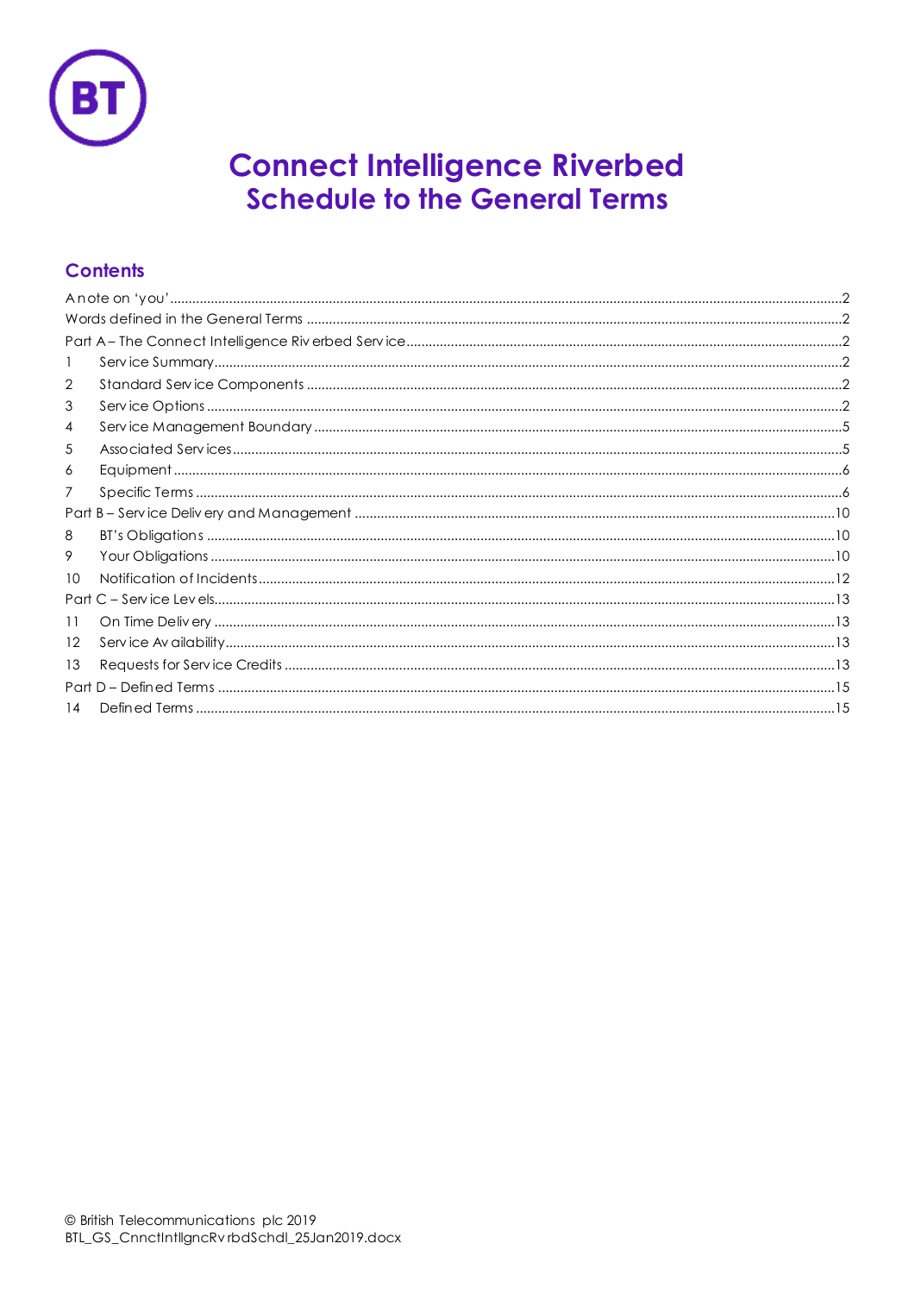

# **Connect Intelligence Riverbed Schedule to the General Terms**

# **Contents**

| 2  |  |  |  |  |
|----|--|--|--|--|
| 3  |  |  |  |  |
| 4  |  |  |  |  |
| 5  |  |  |  |  |
| 6  |  |  |  |  |
| 7  |  |  |  |  |
|    |  |  |  |  |
| 8  |  |  |  |  |
| 9  |  |  |  |  |
| 10 |  |  |  |  |
|    |  |  |  |  |
| 11 |  |  |  |  |
| 12 |  |  |  |  |
| 13 |  |  |  |  |
|    |  |  |  |  |
| 14 |  |  |  |  |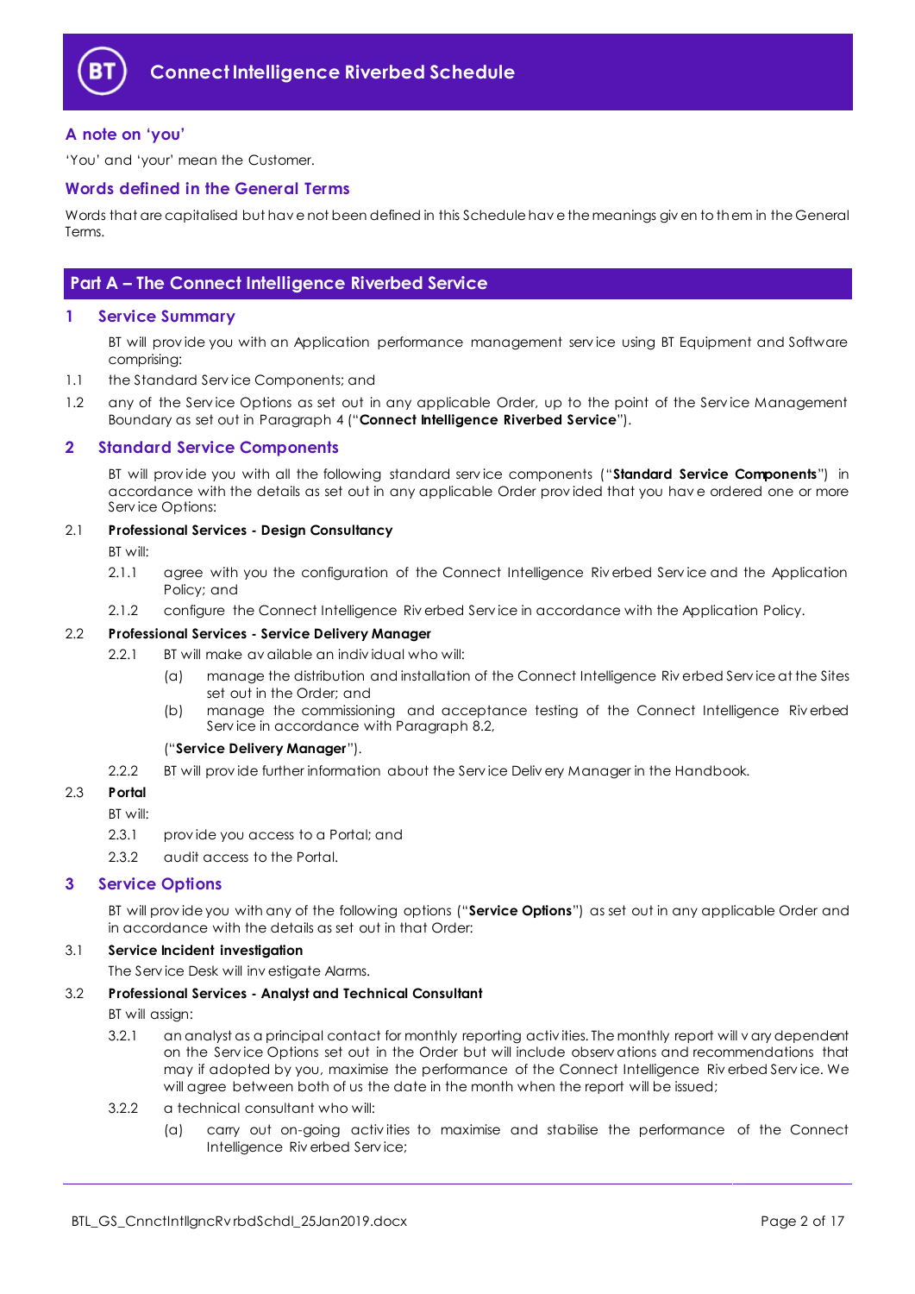

### <span id="page-1-0"></span>**A note on 'you'**

'You' and 'your' mean the Customer.

#### <span id="page-1-1"></span>**Words defined in the General Terms**

Words that are capitalised but hav e not been defined in this Schedule hav e the meanings giv en to them in the General Terms.

## <span id="page-1-2"></span>**Part A – The Connect Intelligence Riverbed Service**

#### <span id="page-1-3"></span>**1 Service Summary**

BT will prov ide you with an Application performance management serv ice using BT Equipment and Software comprising:

- 1.1 the Standard Serv ice Components; and
- 1.2 any of the Service Options as set out in any applicable Order, up to the point of the Service Management Boundary as set out in Paragraph [4](#page-4-0) ("**Connect Intelligence Riverbed Service**").

#### <span id="page-1-4"></span>**2 Standard Service Components**

BT will prov ide you with all the following standard serv ice components ("**Standard Service Components**") in accordance with the details as set out in any applicable Order prov ided that you hav e ordered one or more Serv ice Options:

#### 2.1 **Professional Services - Design Consultancy**

BT will:

- 2.1.1 agree with you the configuration of the Connect Intelligence Riv erbed Serv ice and the Application Policy; and
- 2.1.2 configure the Connect Intelligence Riv erbed Serv ice in accordance with the Application Policy.

#### <span id="page-1-6"></span>2.2 **Professional Services - Service Delivery Manager**

- 2.2.1 BT will make av ailable an indiv idual who will:
	- (a) manage the distribution and installation of the Connect Intelligence Riv erbed Serv ice at the Sites set out in the Order; and
	- (b) manage the commissioning and acceptance testing of the Connect Intelligence Riv erbed Serv ice in accordance with Paragrap[h 8.2,](#page-9-3)

#### ("**Service Delivery Manager**").

2.2.2 BT will provide further information about the Service Deliv ery Manager in the Handbook.

#### 2.3 **Portal**

BT will:

- 2.3.1 prov ide you access to a Portal; and
- 2.3.2 audit access to the Portal.

#### <span id="page-1-5"></span>**3 Service Options**

BT will prov ide you with any of the following options ("**Service Options**") as set out in any applicable Order and in accordance with the details as set out in that Order:

## 3.1 **Service Incident investigation**

The Serv ice Desk will inv estigate Alarms.

#### 3.2 **Professional Services - Analyst and Technical Consultant**

BT will assign:

- 3.2.1 an analyst as a principal contact for monthly reporting activ ities. The monthly report will v ary dependent on the Serv ice Options set out in the Order but will include observ ations and recommendations that may if adopted by you, maximise the performance of the Connect Intelligence Riv erbed Serv ice. We will agree between both of us the date in the month when the report will be issued;
- <span id="page-1-7"></span>3.2.2 a technical consultant who will:
	- (a) carry out on-going activ ities to maximise and stabilise the performance of the Connect Intelligence Riv erbed Serv ice;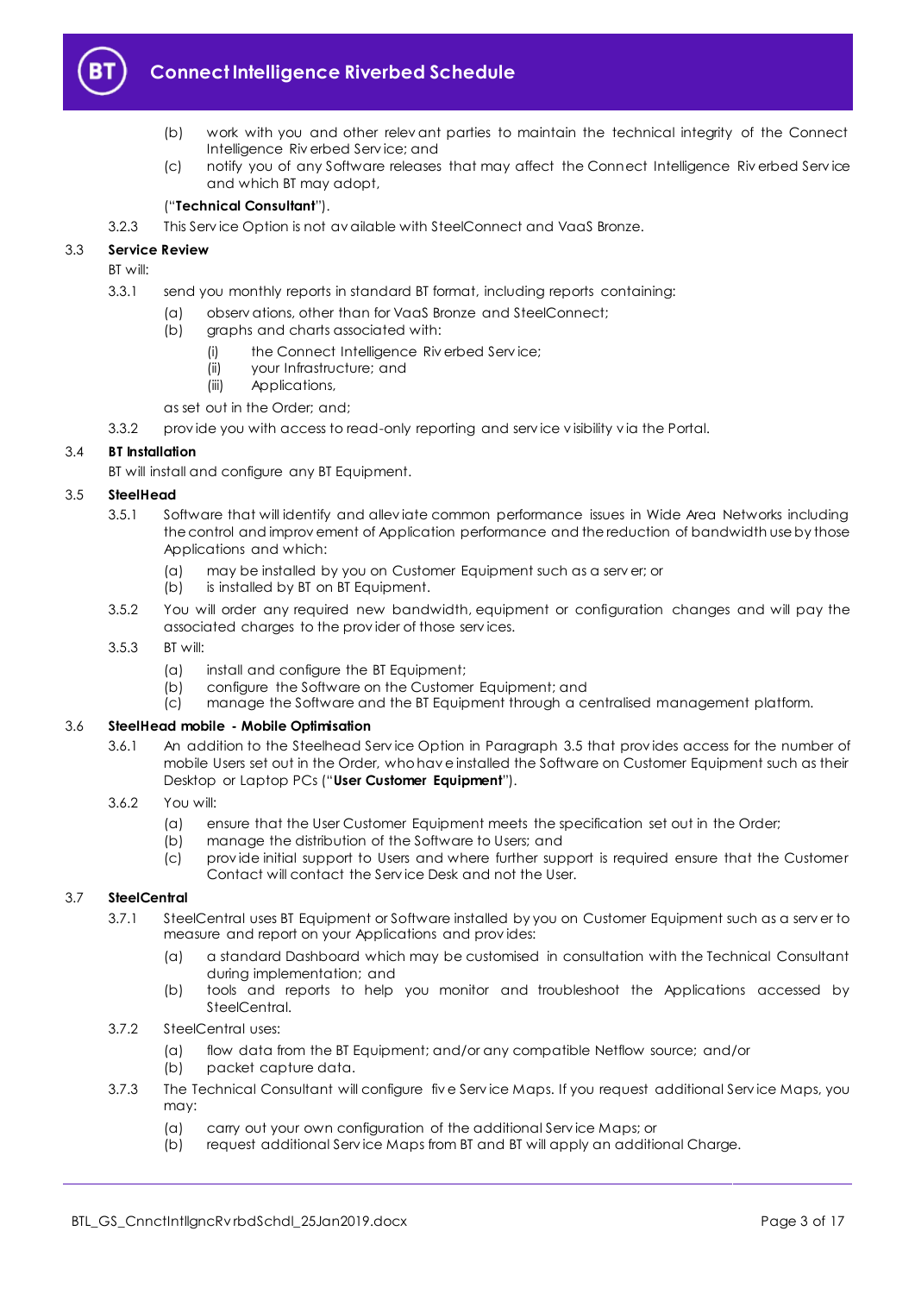

# **Connect Intelligence Riverbed Schedule**

- (b) work with you and other relev ant parties to maintain the technical integrity of the Connect Intelligence Riv erbed Serv ice; and
- (c) notify you of any Software releases that may affect the Connect Intelligence Riv erbed Serv ice and which BT may adopt,

#### ("**Technical Consultant**").

3.2.3 This Serv ice Option is not av ailable with SteelConnect and VaaS Bronze.

#### 3.3 **Service Review**

BT will:

3.3.1 send you monthly reports in standard BT format, including reports containing:

- (a) observ ations, other than for VaaS Bronze and SteelConnect;
- (b) graphs and charts associated with:
	- (i) the Connect Intelligence Riv erbed Serv ice;
	- (ii) your Infrastructure; and
	- (iii) Applications,
- as set out in the Order; and;
- 3.3.2 prov ide you with access to read-only reporting and serv ice v isibility v ia the Portal.

#### 3.4 **BT Installation**

BT will install and configure any BT Equipment.

#### <span id="page-2-0"></span>3.5 **SteelHead**

- 3.5.1 Software that will identify and allev iate common performance issues in Wide Area Networks including the control and improv ement of Application performance and the reduction of bandwidth use by those Applications and which:
	- (a) may be installed by you on Customer Equipment such as a serv er; or
	- (b) is installed by BT on BT Equipment.
- 3.5.2 You will order any required new bandwidth, equipment or configuration changes and will pay the associated charges to the prov ider of those serv ices.
- 3.5.3 BT will:
	- (a) install and configure the BT Equipment;
	- (b) configure the Software on the Customer Equipment; and
	- (c) manage the Software and the BT Equipment through a centralised management platform.

#### <span id="page-2-2"></span>3.6 **SteelHead mobile - Mobile Optimisation**

- 3.6.1 An addition to the Steelhead Serv ice Option in Paragraph [3.5](#page-2-0) that prov ides access for the number of mobile Users set out in the Order, who hav e installed the Software on Customer Equipment such as their Desktop or Laptop PCs ("**User Customer Equipment**").
- 3.6.2 You will:
	- (a) ensure that the User Customer Equipment meets the specification set out in the Order;
	- (b) manage the distribution of the Software to Users; and
	- (c) prov ide initial support to Users and where further support is required ensure that the Customer Contact will contact the Serv ice Desk and not the User.

#### <span id="page-2-1"></span>3.7 **SteelCentral**

- 3.7.1 SteelCentral uses BT Equipment or Software installed by you on Customer Equipment such as a serv er to measure and report on your Applications and prov ides:
	- (a) a standard Dashboard which may be customised in consultation with the Technical Consultant during implementation; and
	- (b) tools and reports to help you monitor and troubleshoot the Applications accessed by SteelCentral.
- 3.7.2 SteelCentral uses:
	- (a) flow data from the BT Equipment; and/or any compatible Netflow source; and/or
	- (b) packet capture data.
- 3.7.3 The Technical Consultant will configure fiv e Serv ice Maps. If you request additional Serv ice Maps, you may:
	- (a) carry out your own configuration of the additional Serv ice Maps; or
	- (b) request additional Serv ice Maps from BT and BT will apply an additional Charge.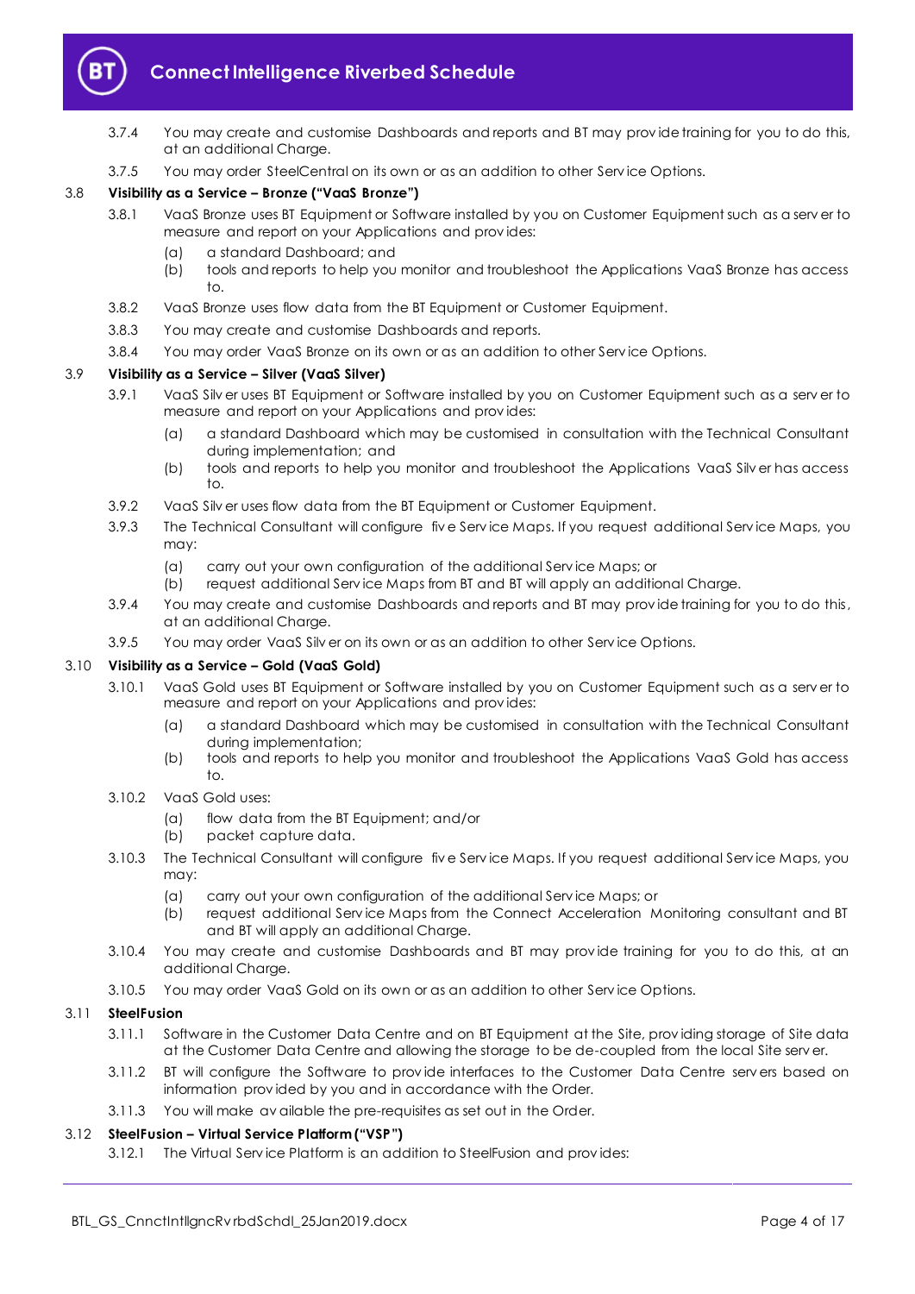

- 3.7.4 You may create and customise Dashboards and reports and BT may prov ide training for you to do this, at an additional Charge.
- 3.7.5 You may order SteelCentral on its own or as an addition to other Serv ice Options.

#### <span id="page-3-1"></span>3.8 **Visibility as a Service – Bronze ("VaaS Bronze")**

- 3.8.1 VaaS Bronze uses BT Equipment or Software installed by you on Customer Equipment such as a serv er to measure and report on your Applications and prov ides:
	- (a) a standard Dashboard; and
	- (b) tools and reports to help you monitor and troubleshoot the Applications VaaS Bronze has access to.
- 3.8.2 VaaS Bronze uses flow data from the BT Equipment or Customer Equipment.
- 3.8.3 You may create and customise Dashboards and reports.
- 3.8.4 You may order VaaS Bronze on its own or as an addition to other Serv ice Options.

#### <span id="page-3-3"></span>3.9 **Visibility as a Service – Silver (VaaS Silver)**

- 3.9.1 VaaS Silv er uses BT Equipment or Software installed by you on Customer Equipment such as a serv er to measure and report on your Applications and prov ides:
	- (a) a standard Dashboard which may be customised in consultation with the Technical Consultant during implementation; and
	- (b) tools and reports to help you monitor and troubleshoot the Applications VaaS Silv er has access to.
- 3.9.2 VaaS Silv er uses flow data from the BT Equipment or Customer Equipment.
- 3.9.3 The Technical Consultant will configure fiv e Serv ice Maps. If you request additional Serv ice Maps, you may:
	- (a) carry out your own configuration of the additional Serv ice Maps; or
	- (b) request additional Serv ice Maps from BT and BT will apply an additional Charge.
- 3.9.4 You may create and customise Dashboards and reports and BT may prov ide training for you to do this, at an additional Charge.
- 3.9.5 You may order VaaS Silv er on its own or as an addition to other Serv ice Options.

#### <span id="page-3-2"></span>3.10 **Visibility as a Service – Gold (VaaS Gold)**

- 3.10.1 VaaS Gold uses BT Equipment or Software installed by you on Customer Equipment such as a serv er to measure and report on your Applications and prov ides:
	- (a) a standard Dashboard which may be customised in consultation with the Technical Consultant during implementation;
	- (b) tools and reports to help you monitor and troubleshoot the Applications VaaS Gold has access to.
- 3.10.2 VaaS Gold uses:
	- (a) flow data from the BT Equipment; and/or
	- (b) packet capture data.
- 3.10.3 The Technical Consultant will configure fiv e Serv ice Maps. If you request additional Serv ice Maps, you may:
	- (a) carry out your own configuration of the additional Serv ice Maps; or
	- (b) request additional Serv ice Maps from the Connect Acceleration Monitoring consultant and BT and BT will apply an additional Charge.
- 3.10.4 You may create and customise Dashboards and BT may prov ide training for you to do this, at an additional Charge.
- 3.10.5 You may order VaaS Gold on its own or as an addition to other Serv ice Options.

#### <span id="page-3-0"></span>3.11 **SteelFusion**

- 3.11.1 Software in the Customer Data Centre and on BT Equipment at the Site, prov iding storage of Site data at the Customer Data Centre and allowing the storage to be de-coupled from the local Site serv er.
- 3.11.2 BT will configure the Software to prov ide interfaces to the Customer Data Centre serv ers based on information prov ided by you and in accordance with the Order.
- 3.11.3 You will make av ailable the pre-requisites as set out in the Order.

#### <span id="page-3-4"></span>3.12 **SteelFusion – Virtual Service Platform ("VSP")**

3.12.1 The Virtual Serv ice Platform is an addition to SteelFusion and prov ides: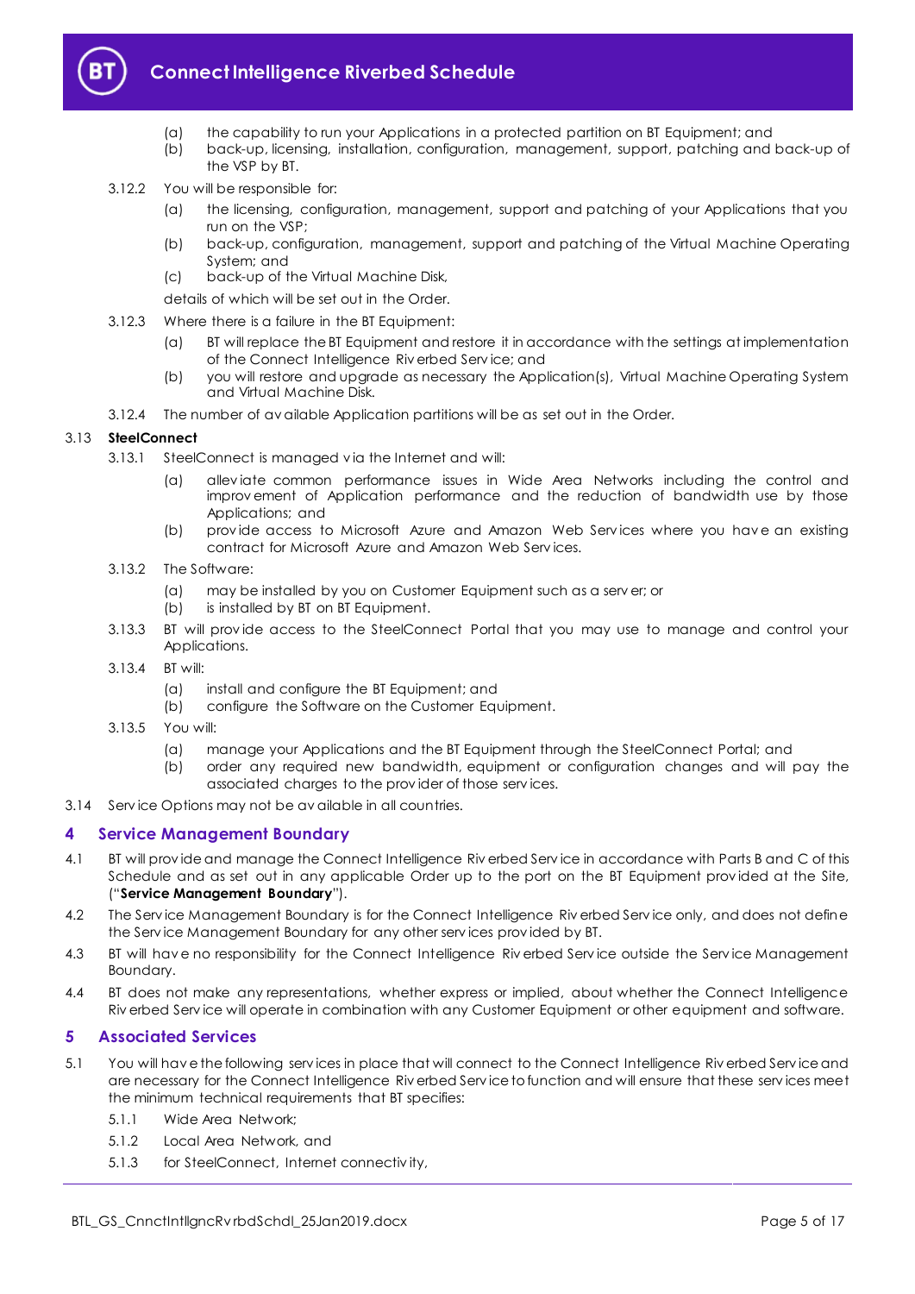

# **Connect Intelligence Riverbed Schedule**

- (a) the capability to run your Applications in a protected partition on BT Equipment; and
- (b) back-up, licensing, installation, configuration, management, support, patching and back-up of the VSP by BT.
- 3.12.2 You will be responsible for:
	- (a) the licensing, configuration, management, support and patching of your Applications that you run on the VSP;
	- (b) back-up, configuration, management, support and patching of the Virtual Machine Operating System; and
	- (c) back-up of the Virtual Machine Disk,

details of which will be set out in the Order.

- 3.12.3 Where there is a failure in the BT Equipment:
	- (a) BT will replace the BT Equipment and restore it in accordance with the settings at implementation of the Connect Intelligence Riv erbed Serv ice; and
	- (b) you will restore and upgrade as necessary the Application(s), Virtual Machine Operating System and Virtual Machine Disk.
- 3.12.4 The number of av ailable Application partitions will be as set out in the Order.

#### <span id="page-4-4"></span>3.13 **SteelConnect**

- 3.13.1 SteelConnect is managed v ia the Internet and will:
	- (a) allev iate common performance issues in Wide Area Networks including the control and improv ement of Application performance and the reduction of bandwidth use by those Applications; and
	- (b) prov ide access to Microsoft Azure and Amazon Web Serv ices where you hav e an existing contract for Microsoft Azure and Amazon Web Serv ices.
- 3.13.2 The Software:
	- (a) may be installed by you on Customer Equipment such as a serv er; or
	- (b) is installed by BT on BT Equipment.
- 3.13.3 BT will prov ide access to the SteelConnect Portal that you may use to manage and control your Applications.
- 3.13.4 BT will:
	- (a) install and configure the BT Equipment; and
	- (b) configure the Software on the Customer Equipment.
- 3.13.5 You will:
	- (a) manage your Applications and the BT Equipment through the SteelConnect Portal; and
	- (b) order any required new bandwidth, equipment or configuration changes and will pay the associated charges to the prov ider of those serv ices.
- 3.14 Serv ice Options may not be av ailable in all countries.

#### <span id="page-4-0"></span>**4 Service Management Boundary**

- <span id="page-4-3"></span>4.1 BT will prov ide and manage the Connect Intelligence Riv erbed Serv ice in accordance with Parts B and C of this Schedule and as set out in any applicable Order up to the port on the BT Equipment prov ided at the Site, ("**Service Management Boundary**").
- 4.2 The Serv ice Management Boundary is for the Connect Intelligence Riv erbed Serv ice only, and does not define the Serv ice Management Boundary for any other serv ices prov ided by BT.
- 4.3 BT will hav e no responsibility for the Connect Intelligence Riv erbed Serv ice outside the Serv ice Management Boundary.
- 4.4 BT does not make any representations, whether express or implied, about whether the Connect Intelligence Riv erbed Serv ice will operate in combination with any Customer Equipment or other equipment and software.

#### <span id="page-4-1"></span>**5 Associated Services**

- <span id="page-4-2"></span>5.1 You will hav e the following serv ices in place that will connect to the Connect Intelligence Riv erbed Serv ice and are necessary for the Connect Intelligence Riv erbed Serv ice to function and will ensure that these serv ices meet the minimum technical requirements that BT specifies:
	- 5.1.1 Wide Area Network;
	- 5.1.2 Local Area Network, and
	- 5.1.3 for SteelConnect, Internet connectiv ity,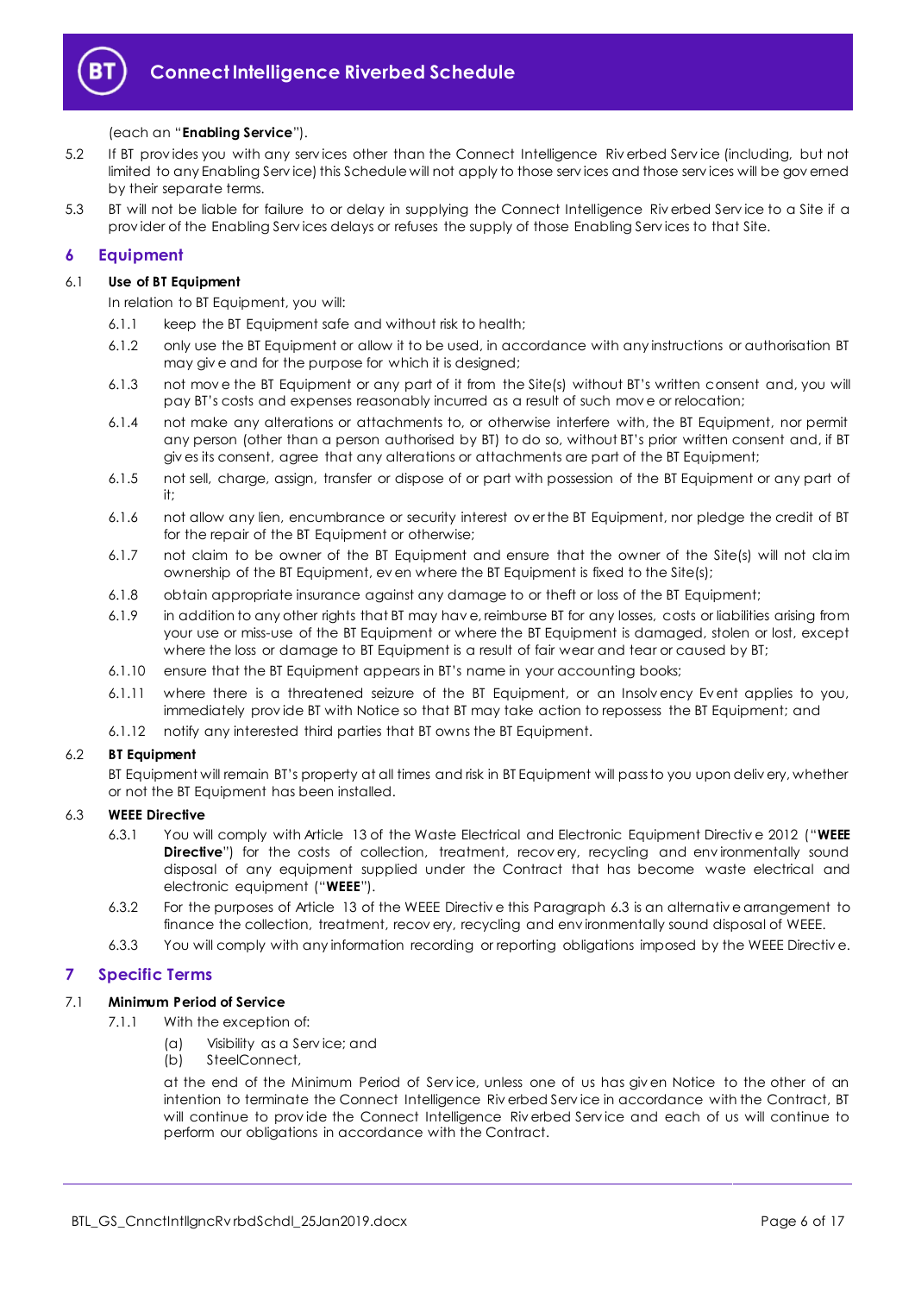

#### (each an "**Enabling Service**").

- 5.2 If BT prov ides you with any serv ices other than the Connect Intelligence Riv erbed Serv ice (including, but not limited to any Enabling Serv ice) this Schedule will not apply to those serv ices and those serv ices will be gov erned by their separate terms.
- 5.3 BT will not be liable for failure to or delay in supplying the Connect Intelligence Riv erbed Serv ice to a Site if a prov ider of the Enabling Serv ices delays or refuses the supply of those Enabling Serv ices to that Site.

## <span id="page-5-0"></span>**6 Equipment**

#### 6.1 **Use of BT Equipment**

In relation to BT Equipment, you will:

- 6.1.1 keep the BT Equipment safe and without risk to health;
- 6.1.2 only use the BT Equipment or allow it to be used, in accordance with any instructions or authorisation BT may giv e and for the purpose for which it is designed;
- 6.1.3 not mov e the BT Equipment or any part of it from the Site(s) without BT's written consent and, you will pay BT's costs and expenses reasonably incurred as a result of such mov e or relocation;
- 6.1.4 not make any alterations or attachments to, or otherwise interfere with, the BT Equipment, nor permit any person (other than a person authorised by BT) to do so, without BT's prior written consent and, if BT giv es its consent, agree that any alterations or attachments are part of the BT Equipment;
- 6.1.5 not sell, charge, assign, transfer or dispose of or part with possession of the BT Equipment or any part of it;
- 6.1.6 not allow any lien, encumbrance or security interest ov er the BT Equipment, nor pledge the credit of BT for the repair of the BT Equipment or otherwise;
- 6.1.7 not claim to be owner of the BT Equipment and ensure that the owner of the Site(s) will not claim ownership of the BT Equipment, ev en where the BT Equipment is fixed to the Site(s);
- 6.1.8 obtain appropriate insurance against any damage to or theft or loss of the BT Equipment;
- 6.1.9 in addition to any other rights that BT may hav e, reimburse BT for any losses, costs or liabilities arising from your use or miss-use of the BT Equipment or where the BT Equipment is damaged, stolen or lost, except where the loss or damage to BT Equipment is a result of fair wear and tear or caused by BT;
- 6.1.10 ensure that the BT Equipment appears in BT's name in your accounting books;
- 6.1.11 where there is a threatened seizure of the BT Equipment, or an Insolv ency Ev ent applies to you, immediately prov ide BT with Notice so that BT may take action to repossess the BT Equipment; and
- 6.1.12 notify any interested third parties that BT owns the BT Equipment.

#### 6.2 **BT Equipment**

BT Equipment will remain BT's property at all times and risk in BT Equipment will pass to you upon deliv ery, whether or not the BT Equipment has been installed.

#### <span id="page-5-3"></span><span id="page-5-2"></span>6.3 **WEEE Directive**

- 6.3.1 You will comply with Article 13 of the Waste Electrical and Electronic Equipment Directiv e 2012 ("**WEEE Directive**") for the costs of collection, treatment, recovery, recycling and environmentally sound disposal of any equipment supplied under the Contract that has become waste electrical and electronic equipment ("**WEEE**").
- 6.3.2 For the purposes of Article 13 of the WEEE Directiv e this Paragrap[h 6.3](#page-5-2) is an alternativ e arrangement to finance the collection, treatment, recov ery, recycling and env ironmentally sound disposal of WEEE.
- 6.3.3 You will comply with any information recording or reporting obligations imposed by the WEEE Directiv e.

#### <span id="page-5-1"></span>**7 Specific Terms**

#### 7.1 **Minimum Period of Service**

- 7.1.1 With the exception of:
	- (a) Visibility as a Serv ice; and
	- (b) SteelConnect,

at the end of the Minimum Period of Serv ice, unless one of us has giv en Notice to the other of an intention to terminate the Connect Intelligence Riv erbed Serv ice in accordance with the Contract, BT will continue to prov ide the Connect Intelligence Riv erbed Serv ice and each of us will continue to perform our obligations in accordance with the Contract.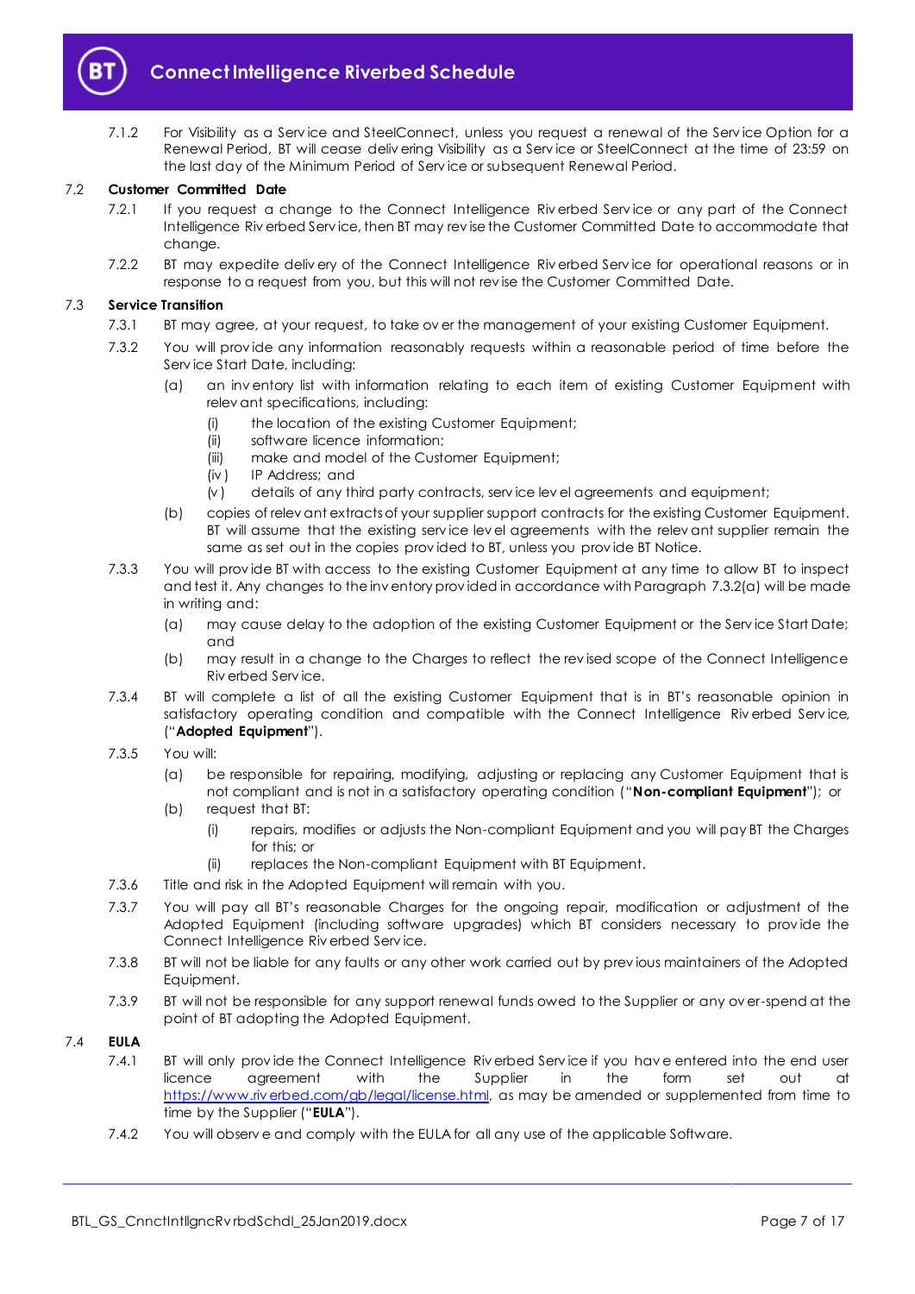

7.1.2 For Visibility as a Service and SteelConnect, unless you request a renewal of the Service Option for a Renewal Period, BT will cease deliv ering Visibility as a Serv ice or SteelConnect at the time of 23:59 on the last day of the Minimum Period of Serv ice or subsequent Renewal Period.

#### 7.2 **Customer Committed Date**

- 7.2.1 If you request a change to the Connect Intelligence Riverbed Service or any part of the Connect Intelligence Riv erbed Serv ice, then BT may rev ise the Customer Committed Date to accommodate that change.
- 7.2.2 BT may expedite deliv ery of the Connect Intelligence Riv erbed Serv ice for operational reasons or in response to a request from you, but this will not rev ise the Customer Committed Date.

#### 7.3 **Service Transition**

- 7.3.1 BT may agree, at your request, to take ov er the management of your existing Customer Equipment.
- <span id="page-6-0"></span>7.3.2 You will prov ide any information reasonably requests within a reasonable period of time before the Serv ice Start Date, including:
	- (a) an inv entory list with information relating to each item of existing Customer Equipment with relev ant specifications, including:
		- (i) the location of the existing Customer Equipment;
		- (ii) software licence information;
		- (iii) make and model of the Customer Equipment;
		- (iv ) IP Address; and
		- (v ) details of any third party contracts, serv ice lev el agreements and equipment;
	- (b) copies of relev ant extracts of your supplier support contracts for the existing Customer Equipment. BT will assume that the existing serv ice lev el agreements with the relev ant supplier remain the same as set out in the copies prov ided to BT, unless you prov ide BT Notice.
- 7.3.3 You will prov ide BT with access to the existing Customer Equipment at any time to allow BT to inspect and test it. Any changes to the inv entory prov ided in accordance with Paragraph [7.3.2\(a\)](#page-6-0) will be made in writing and:
	- (a) may cause delay to the adoption of the existing Customer Equipment or the Serv ice Start Date; and
	- (b) may result in a change to the Charges to reflect the rev ised scope of the Connect Intelligence Riv erbed Serv ice.
- <span id="page-6-1"></span>7.3.4 BT will complete a list of all the existing Customer Equipment that is in BT's reasonable opinion in satisfactory operating condition and compatible with the Connect Intelligence Riv erbed Serv ice, ("**Adopted Equipment**").
- <span id="page-6-3"></span>7.3.5 You will:
	- (a) be responsible for repairing, modifying, adjusting or replacing any Customer Equipment that is not compliant and is not in a satisfactory operating condition ("**Non-compliant Equipment**"); or
	- (b) request that BT:
		- (i) repairs, modifies or adjusts the Non-compliant Equipment and you will pay BT the Charges for this; or
		- (ii) replaces the Non-compliant Equipment with BT Equipment.
- 7.3.6 Title and risk in the Adopted Equipment will remain with you.
- 7.3.7 You will pay all BT's reasonable Charges for the ongoing repair, modification or adjustment of the Adopted Equipment (including software upgrades) which BT considers necessary to prov ide the Connect Intelligence Riv erbed Serv ice.
- 7.3.8 BT will not be liable for any faults or any other work carried out by prev ious maintainers of the Adopted Equipment.
- 7.3.9 BT will not be responsible for any support renewal funds owed to the Supplier or any ov er-spend at the point of BT adopting the Adopted Equipment.

## <span id="page-6-2"></span>7.4 **EULA**

- 7.4.1 BT will only prov ide the Connect Intelligence Riv erbed Serv ice if you hav e entered into the end user licence agreement with the Supplier in the form set out at [https://www.riv erbed.com/gb/legal/license.html,](https://www.riverbed.com/gb/legal/license.html) as may be amended or supplemented from time to time by the Supplier ("**EULA**").
- 7.4.2 You will observ e and comply with the EULA for all any use of the applicable Software.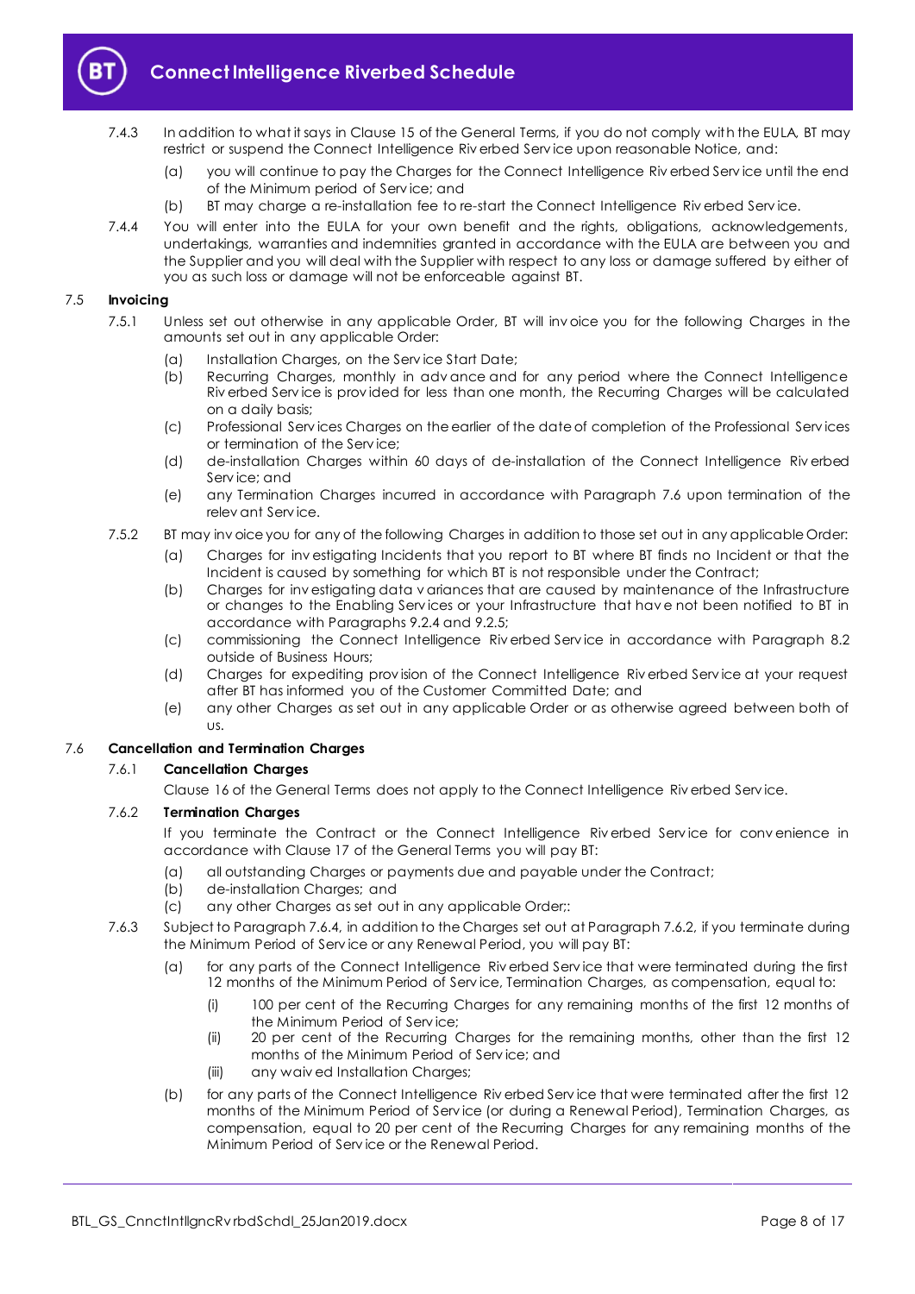

- 7.4.3 In addition to what it says in Clause 15 of the General Terms, if you do not comply with the EULA, BT may restrict or suspend the Connect Intelligence Riv erbed Serv ice upon reasonable Notice, and:
	- (a) you will continue to pay the Charges for the Connect Intelligence Riv erbed Serv ice until the end of the Minimum period of Serv ice; and
	- (b) BT may charge a re-installation fee to re-start the Connect Intelligence Riv erbed Serv ice.
- 7.4.4 You will enter into the EULA for your own benefit and the rights, obligations, acknowledgements, undertakings, warranties and indemnities granted in accordance with the EULA are between you and the Supplier and you will deal with the Supplier with respect to any loss or damage suffered by either of you as such loss or damage will not be enforceable against BT.

#### 7.5 **Invoicing**

- 7.5.1 Unless set out otherwise in any applicable Order, BT will inv oice you for the following Charges in the amounts set out in any applicable Order:
	- (a) Installation Charges, on the Serv ice Start Date;
	- (b) Recurring Charges, monthly in adv ance and for any period where the Connect Intelligence Riv erbed Serv ice is prov ided for less than one month, the Recurring Charges will be calculated on a daily basis;
	- (c) Professional Serv ices Charges on the earlier of the date of completion of the Professional Serv ices or termination of the Serv ice;
	- (d) de-installation Charges within 60 days of de-installation of the Connect Intelligence Riv erbed Serv ice; and
	- (e) any Termination Charges incurred in accordance with Paragraph [7.6](#page-7-0) upon termination of the relev ant Serv ice.
- 7.5.2 BT may inv oice you for any of the following Charges in addition to those set out in any applicable Order:
	- (a) Charges for inv estigating Incidents that you report to BT where BT finds no Incident or that the Incident is caused by something for which BT is not responsible under the Contract;
	- (b) Charges for inv estigating data v ariances that are caused by maintenance of the Infrastructure or changes to the Enabling Serv ices or your Infrastructure that hav e not been notified to BT in accordance with Paragraph[s 9.2.4](#page-10-0) and [9.2.5;](#page-10-1)
	- (c) commissioning the Connect Intelligence Riv erbed Serv ice in accordance with Paragraph [8.2](#page-9-3) outside of Business Hours;
	- (d) Charges for expediting prov ision of the Connect Intelligence Riv erbed Serv ice at your request after BT has informed you of the Customer Committed Date; and
	- (e) any other Charges as set out in any applicable Order or as otherwise agreed between both of us.

#### <span id="page-7-0"></span>7.6 **Cancellation and Termination Charges**

#### 7.6.1 **Cancellation Charges**

Clause 16 of the General Terms does not apply to the Connect Intelligence Riv erbed Serv ice.

#### <span id="page-7-1"></span>7.6.2 **Termination Charges**

If you terminate the Contract or the Connect Intelligence Riverbed Service for convenience in accordance with Clause 17 of the General Terms you will pay BT:

- (a) all outstanding Charges or payments due and payable under the Contract;
- (b) de-installation Charges; and
- (c) any other Charges as set out in any applicable Order;:
- <span id="page-7-2"></span>7.6.3 Subject to Paragrap[h 7.6.4,](#page-8-0) in addition to the Charges set out at Paragrap[h 7.6.2,](#page-7-1) if you terminate during the Minimum Period of Serv ice or any Renewal Period, you will pay BT:
	- (a) for any parts of the Connect Intelligence Riv erbed Serv ice that were terminated during the first 12 months of the Minimum Period of Serv ice, Termination Charges, as compensation, equal to:
		- (i) 100 per cent of the Recurring Charges for any remaining months of the first 12 months of the Minimum Period of Serv ice;
		- (ii) 20 per cent of the Recurring Charges for the remaining months, other than the first 12 months of the Minimum Period of Serv ice; and
		- (iii) any waiv ed Installation Charges;
	- (b) for any parts of the Connect Intelligence Riv erbed Serv ice that were terminated after the first 12 months of the Minimum Period of Serv ice (or during a Renewal Period), Termination Charges, as compensation, equal to 20 per cent of the Recurring Charges for any remaining months of the Minimum Period of Serv ice or the Renewal Period.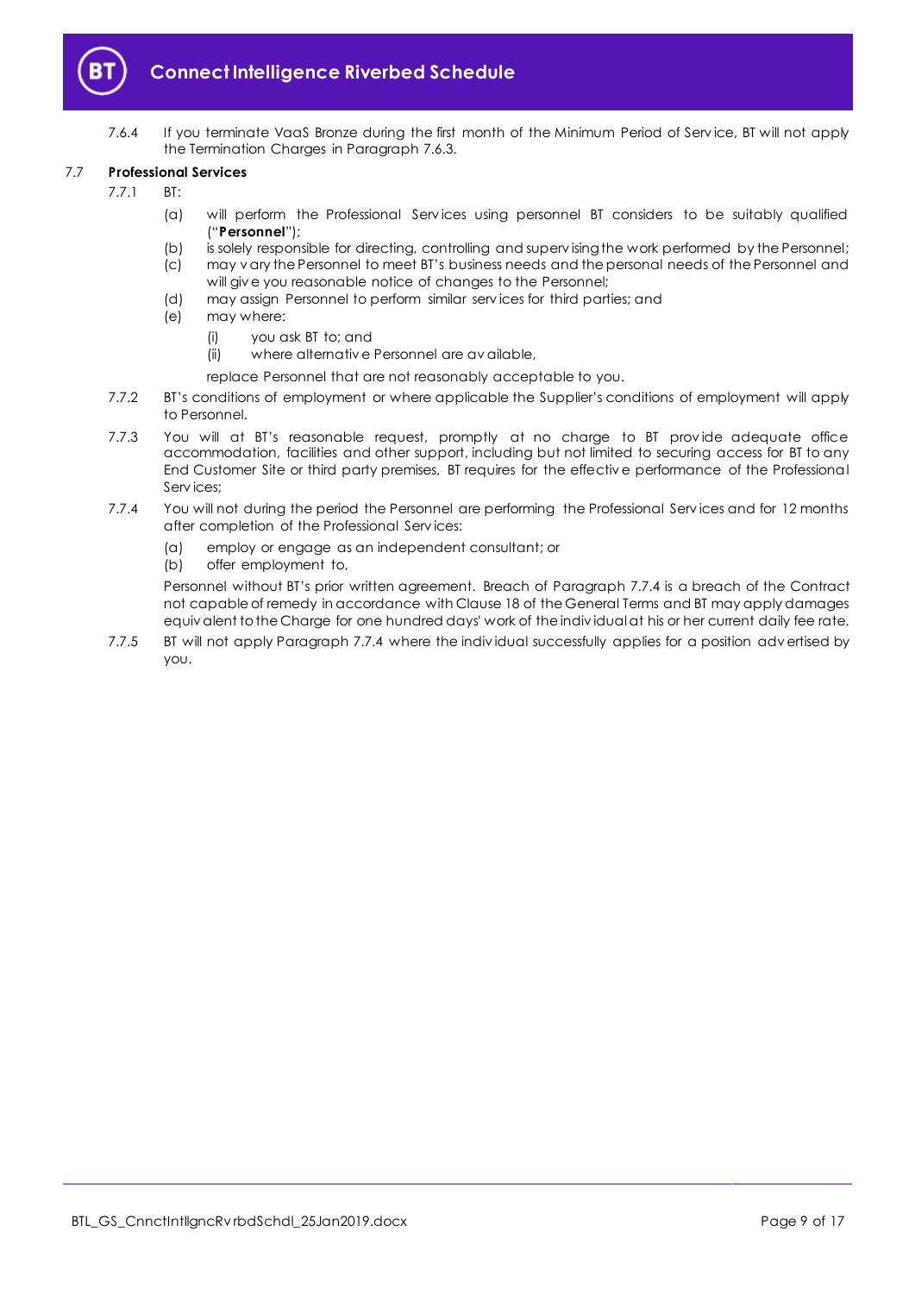

7.6.4 If you terminate VaaS Bronze during the first month of the Minimum Period of Serv ice, BT will not apply the Termination Charges in Paragraph [7.6.3.](#page-7-2)

#### <span id="page-8-2"></span><span id="page-8-0"></span>7.7 **Professional Services**

- 7.7.1 BT:
	- (a) will perform the Professional Serv ices using personnel BT considers to be suitably qualified ("**Personnel**");
	- (b) is solely responsible for directing, controlling and superv ising the work performed by the Personnel;
	- (c) may v ary the Personnel to meet BT's business needs and the personal needs of the Personnel and will giv e you reasonable notice of changes to the Personnel;
	- (d) may assign Personnel to perform similar serv ices for third parties; and
	- (e) may where:
		- (i) you ask BT to; and
		- (ii) where alternativ e Personnel are av ailable,
		- replace Personnel that are not reasonably acceptable to you.
- 7.7.2 BT's conditions of employment or where applicable the Supplier's conditions of employment will apply to Personnel.
- 7.7.3 You will at BT's reasonable request, promptly at no charge to BT provide adequate office accommodation, facilities and other support, including but not limited to securing access for BT to any End Customer Site or third party premises, BT requires for the effectiv e performance of the Professional Serv ices;
- <span id="page-8-1"></span>7.7.4 You will not during the period the Personnel are performing the Professional Serv ices and for 12 months after completion of the Professional Serv ices:
	- (a) employ or engage as an independent consultant; or
	- (b) offer employment to,

Personnel without BT's prior written agreement. Breach of Paragraph [7.7.4](#page-8-1) is a breach of the Contract not capable of remedy in accordance with Clause 18 of the General Terms and BT may apply damages equiv alent to the Charge for one hundred days' work of the indiv idual at his or her current daily fee rate.

7.7.5 BT will not apply Paragraph [7.7.4](#page-8-1) where the indiv idual successfully applies for a position adv ertised by you.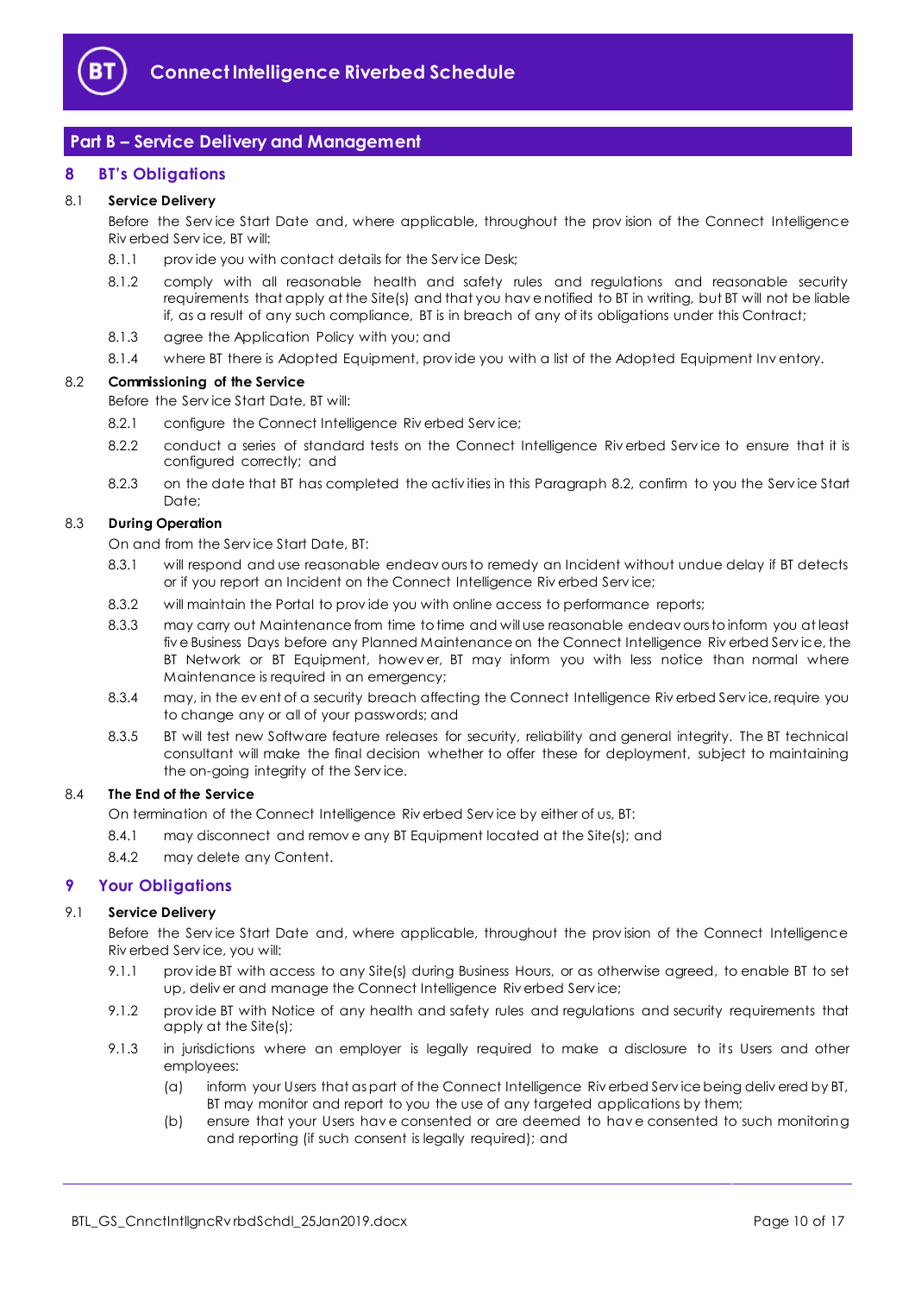

# <span id="page-9-0"></span>**Part B – Service Delivery and Management**

#### <span id="page-9-1"></span>**8 BT's Obligations**

#### 8.1 **Service Delivery**

Before the Serv ice Start Date and, where applicable, throughout the prov ision of the Connect Intelligence Riv erbed Serv ice, BT will:

- 8.1.1 provide you with contact details for the Service Desk;
- 8.1.2 comply with all reasonable health and safety rules and regulations and reasonable security requirements that apply at the Site(s) and that you hav e notified to BT in writing, but BT will not be liable if, as a result of any such compliance, BT is in breach of any of its obligations under this Contract;
- 8.1.3 agree the Application Policy with you; and
- 8.1.4 where BT there is Adopted Equipment, prov ide you with a list of the Adopted Equipment Inv entory.

#### <span id="page-9-3"></span>8.2 **Commissioning of the Service**

Before the Serv ice Start Date, BT will:

- 8.2.1 configure the Connect Intelligence Riverbed Service;
- 8.2.2 conduct a series of standard tests on the Connect Intelligence Riverbed Service to ensure that it is configured correctly; and
- 8.2.3 on the date that BT has completed the activ ities in this Paragraph [8.2,](#page-9-3) confirm to you the Serv ice Start Date;

#### 8.3 **During Operation**

On and from the Serv ice Start Date, BT:

- 8.3.1 will respond and use reasonable endeav ours to remedy an Incident without undue delay if BT detects or if you report an Incident on the Connect Intelligence Riv erbed Serv ice;
- 8.3.2 will maintain the Portal to prov ide you with online access to performance reports;
- 8.3.3 may carry out Maintenance from time to time and will use reasonable endeav ours to inform you at least fiv e Business Days before any Planned Maintenance on the Connect Intelligence Riv erbed Serv ice, the BT Network or BT Equipment, howev er, BT may inform you with less notice than normal where Maintenance is required in an emergency;
- 8.3.4 may, in the ev ent of a security breach affecting the Connect Intelligence Riv erbed Service, require you to change any or all of your passwords; and
- 8.3.5 BT will test new Software feature releases for security, reliability and general integrity. The BT technical consultant will make the final decision whether to offer these for deployment, subject to maintaining the on-going integrity of the Serv ice.

#### 8.4 **The End of the Service**

On termination of the Connect Intelligence Riv erbed Serv ice by either of us, BT:

- 8.4.1 may disconnect and remov e any BT Equipment located at the Site(s); and
- 8.4.2 may delete any Content.

#### <span id="page-9-2"></span>**9 Your Obligations**

#### 9.1 **Service Delivery**

Before the Serv ice Start Date and, where applicable, throughout the prov ision of the Connect Intelligence Riv erbed Serv ice, you will:

- 9.1.1 prov ide BT with access to any Site(s) during Business Hours, or as otherwise agreed, to enable BT to set up, deliv er and manage the Connect Intelligence Riv erbed Serv ice;
- 9.1.2 prov ide BT with Notice of any health and safety rules and regulations and security requirements that apply at the Site(s);
- <span id="page-9-4"></span>9.1.3 in jurisdictions where an employer is legally required to make a disclosure to its Users and other employees:
	- (a) inform your Users that as part of the Connect Intelligence Riv erbed Serv ice being deliv ered by BT, BT may monitor and report to you the use of any targeted applications by them;
	- (b) ensure that your Users hav e consented or are deemed to hav e consented to such monitoring and reporting (if such consent is legally required); and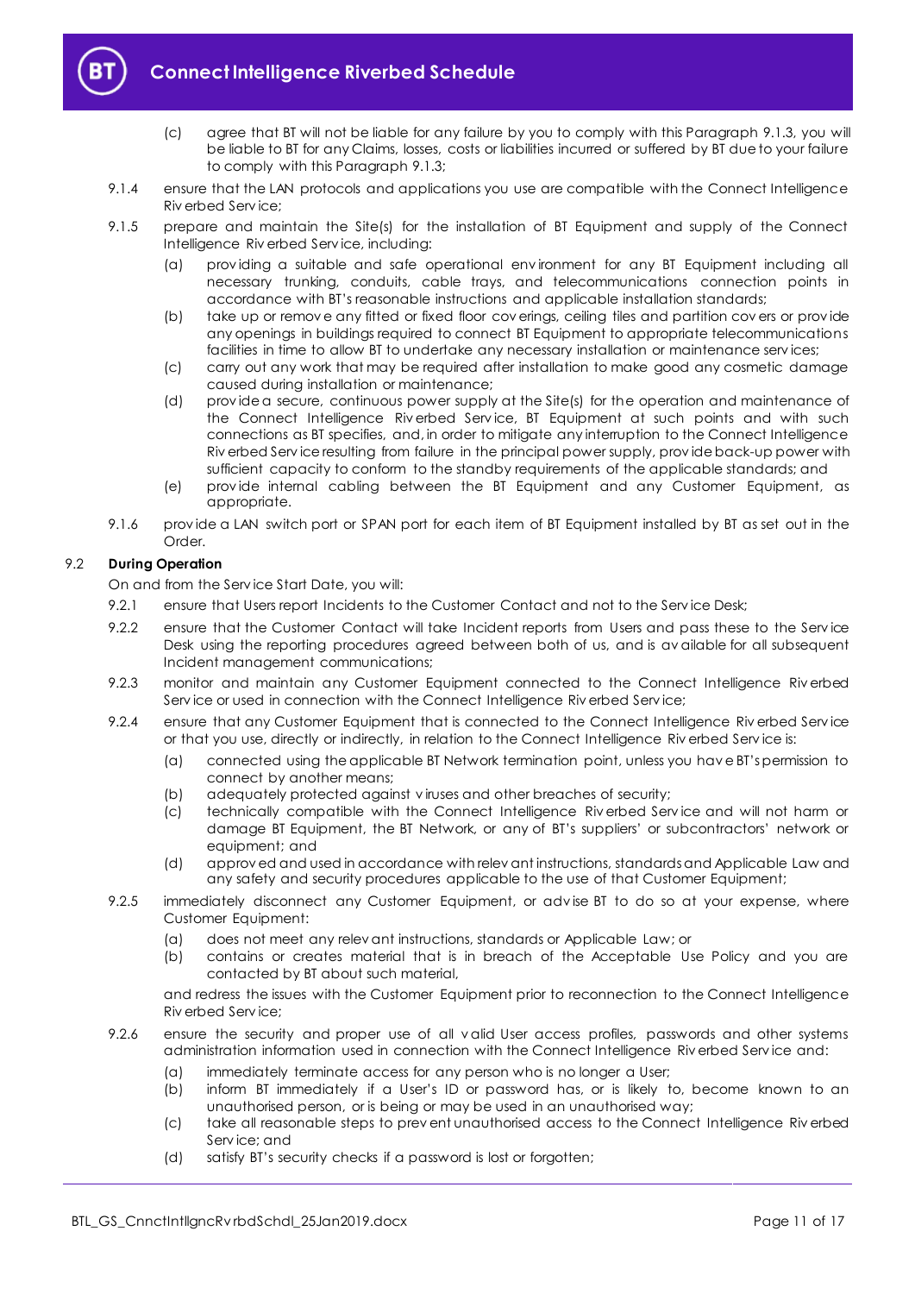

- (c) agree that BT will not be liable for any failure by you to comply with this Paragraph [9.1.3,](#page-9-4) you will be liable to BT for any Claims, losses, costs or liabilities incurred or suffered by BT due to your failure to comply with this Paragrap[h 9.1.3;](#page-9-4)
- 9.1.4 ensure that the LAN protocols and applications you use are compatible with the Connect Intelligence Riv erbed Serv ice;
- 9.1.5 prepare and maintain the Site(s) for the installation of BT Equipment and supply of the Connect Intelligence Riv erbed Serv ice, including:
	- (a) prov iding a suitable and safe operational env ironment for any BT Equipment including all necessary trunking, conduits, cable trays, and telecommunications connection points in accordance with BT's reasonable instructions and applicable installation standards;
	- (b) take up or remov e any fitted or fixed floor cov erings, ceiling tiles and partition cov ers or prov ide any openings in buildings required to connect BT Equipment to appropriate telecommunications facilities in time to allow BT to undertake any necessary installation or maintenance serv ices;
	- (c) carry out any work that may be required after installation to make good any cosmetic damage caused during installation or maintenance;
	- (d) prov ide a secure, continuous power supply at the Site(s) for the operation and maintenance of the Connect Intelligence Riv erbed Serv ice, BT Equipment at such points and with such connections as BT specifies, and, in order to mitigate any interruption to the Connect Intelligence Riv erbed Serv ice resulting from failure in the principal power supply, prov ide back-up power with sufficient capacity to conform to the standby requirements of the applicable standards; and
	- (e) prov ide internal cabling between the BT Equipment and any Customer Equipment, as appropriate.
- 9.1.6 prov ide a LAN switch port or SPAN port for each item of BT Equipment installed by BT as set out in the Order.

#### 9.2 **During Operation**

On and from the Serv ice Start Date, you will:

- 9.2.1 ensure that Users report Incidents to the Customer Contact and not to the Service Desk;
- 9.2.2 ensure that the Customer Contact will take Incident reports from Users and pass these to the Service Desk using the reporting procedures agreed between both of us, and is av ailable for all subsequent Incident management communications;
- 9.2.3 monitor and maintain any Customer Equipment connected to the Connect Intelligence Riverbed Service or used in connection with the Connect Intelligence Riverbed Service;
- <span id="page-10-0"></span>9.2.4 ensure that any Customer Equipment that is connected to the Connect Intelligence Riv erbed Service or that you use, directly or indirectly, in relation to the Connect Intelligence Riv erbed Serv ice is:
	- (a) connected using the applicable BT Network termination point, unless you hav e BT's permission to connect by another means;
	- (b) adequately protected against v iruses and other breaches of security;
	- (c) technically compatible with the Connect Intelligence Riv erbed Serv ice and will not harm or damage BT Equipment, the BT Network, or any of BT's suppliers' or subcontractors' network or equipment; and
	- (d) approv ed and used in accordance with relev ant instructions, standards and Applicable Law and any safety and security procedures applicable to the use of that Customer Equipment;
- <span id="page-10-1"></span>9.2.5 immediately disconnect any Customer Equipment, or adv ise BT to do so at your expense, where Customer Equipment:
	- (a) does not meet any relev ant instructions, standards or Applicable Law; or
	- (b) contains or creates material that is in breach of the Acceptable Use Policy and you are contacted by BT about such material,

and redress the issues with the Customer Equipment prior to reconnection to the Connect Intelligence Riv erbed Serv ice;

- 9.2.6 ensure the security and proper use of all v alid User access profiles, passwords and other systems administration information used in connection with the Connect Intelligence Riv erbed Serv ice and:
	- (a) immediately terminate access for any person who is no longer a User;
	- (b) inform BT immediately if a User's ID or password has, or is likely to, become known to an unauthorised person, or is being or may be used in an unauthorised way;
	- (c) take all reasonable steps to prev ent unauthorised access to the Connect Intelligence Riv erbed Serv ice; and
	- (d) satisfy BT's security checks if a password is lost or forgotten;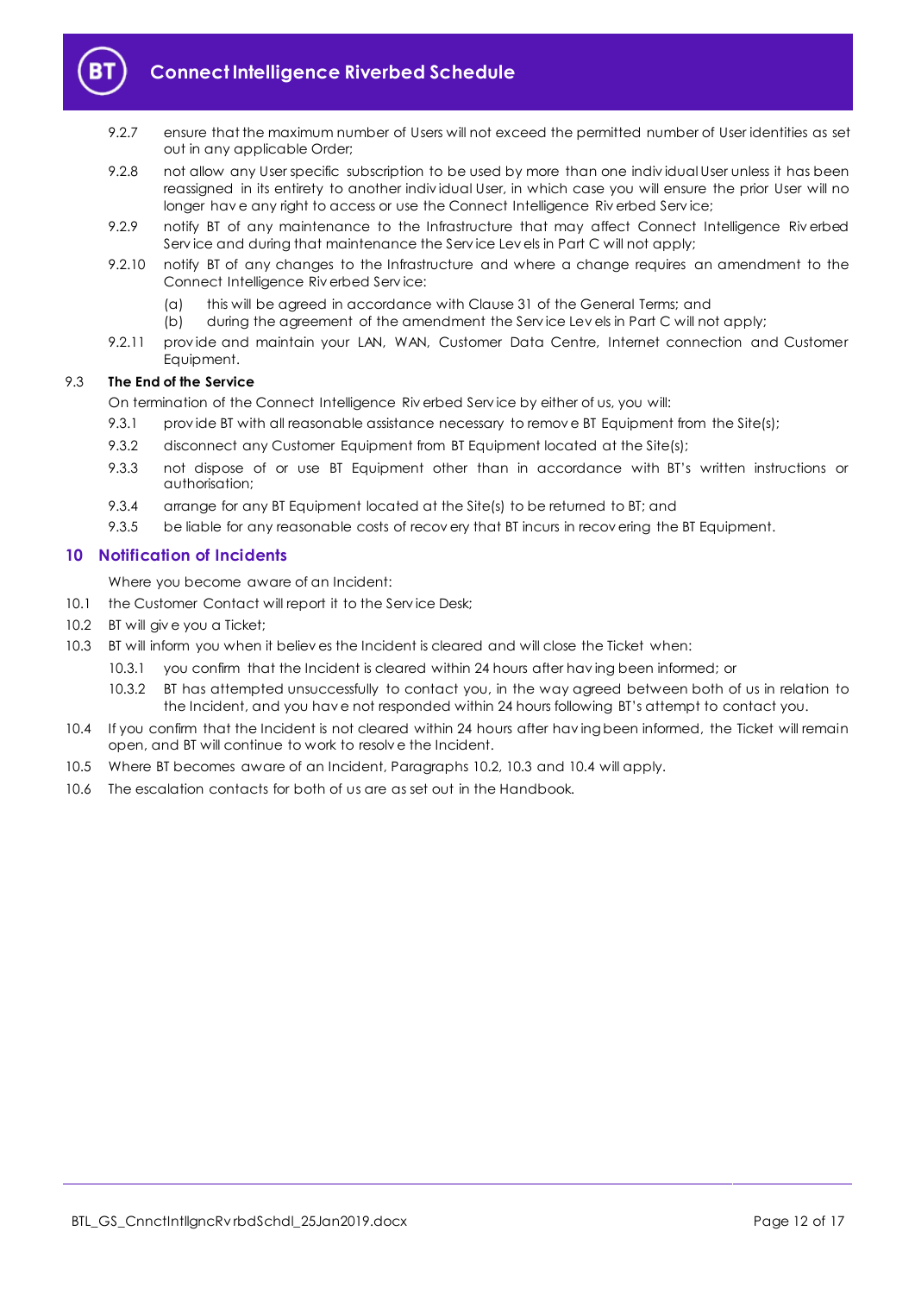

- 9.2.7 ensure that the maximum number of Users will not exceed the permitted number of User identities as set out in any applicable Order;
- 9.2.8 not allow any User specific subscription to be used by more than one indiv idual User unless it has been reassigned in its entirety to another indiv idual User, in which case you will ensure the prior User will no longer hav e any right to access or use the Connect Intelligence Riv erbed Serv ice;
- 9.2.9 notify BT of any maintenance to the Infrastructure that may affect Connect Intelligence Riv erbed Serv ice and during that maintenance the Serv ice Lev els in Part C will not apply;
- 9.2.10 notify BT of any changes to the Infrastructure and where a change requires an amendment to the Connect Intelligence Riv erbed Serv ice:
	- (a) this will be agreed in accordance with Clause 31 of the General Terms; and
	- (b) during the agreement of the amendment the Serv ice Lev els in Part C will not apply;
- 9.2.11 prov ide and maintain your LAN, WAN, Customer Data Centre, Internet connection and Customer Equipment.

#### 9.3 **The End of the Service**

On termination of the Connect Intelligence Riv erbed Serv ice by either of us, you will:

- 9.3.1 provide BT with all reasonable assistance necessary to remove BT Equipment from the Site(s);
- 9.3.2 disconnect any Customer Equipment from BT Equipment located at the Site(s);
- 9.3.3 not dispose of or use BT Equipment other than in accordance with BT's written instructions or authorisation;
- 9.3.4 arrange for any BT Equipment located at the Site(s) to be returned to BT; and
- 9.3.5 be liable for any reasonable costs of recovery that BT incurs in recovering the BT Equipment.

#### <span id="page-11-0"></span>**10 Notification of Incidents**

Where you become aware of an Incident:

- 10.1 the Customer Contact will report it to the Service Desk;
- <span id="page-11-1"></span>10.2 BT will give you a Ticket;
- <span id="page-11-2"></span>10.3 BT will inform you when it believ es the Incident is cleared and will close the Ticket when:
	- 10.3.1 you confirm that the Incident is cleared within 24 hours after hav ing been informed; or
	- 10.3.2 BT has attempted unsuccessfully to contact you, in the way agreed between both of us in relation to the Incident, and you hav e not responded within 24 hours following BT's attempt to contact you.
- <span id="page-11-3"></span>10.4 If you confirm that the Incident is not cleared within 24 hours after hav ing been informed, the Ticket will remain open, and BT will continue to work to resolv e the Incident.
- 10.5 Where BT becomes aware of an Incident, Paragraphs [10.2,](#page-11-1) [10.3](#page-11-2) and [10.4](#page-11-3) will apply.
- 10.6 The escalation contacts for both of us are as set out in the Handbook.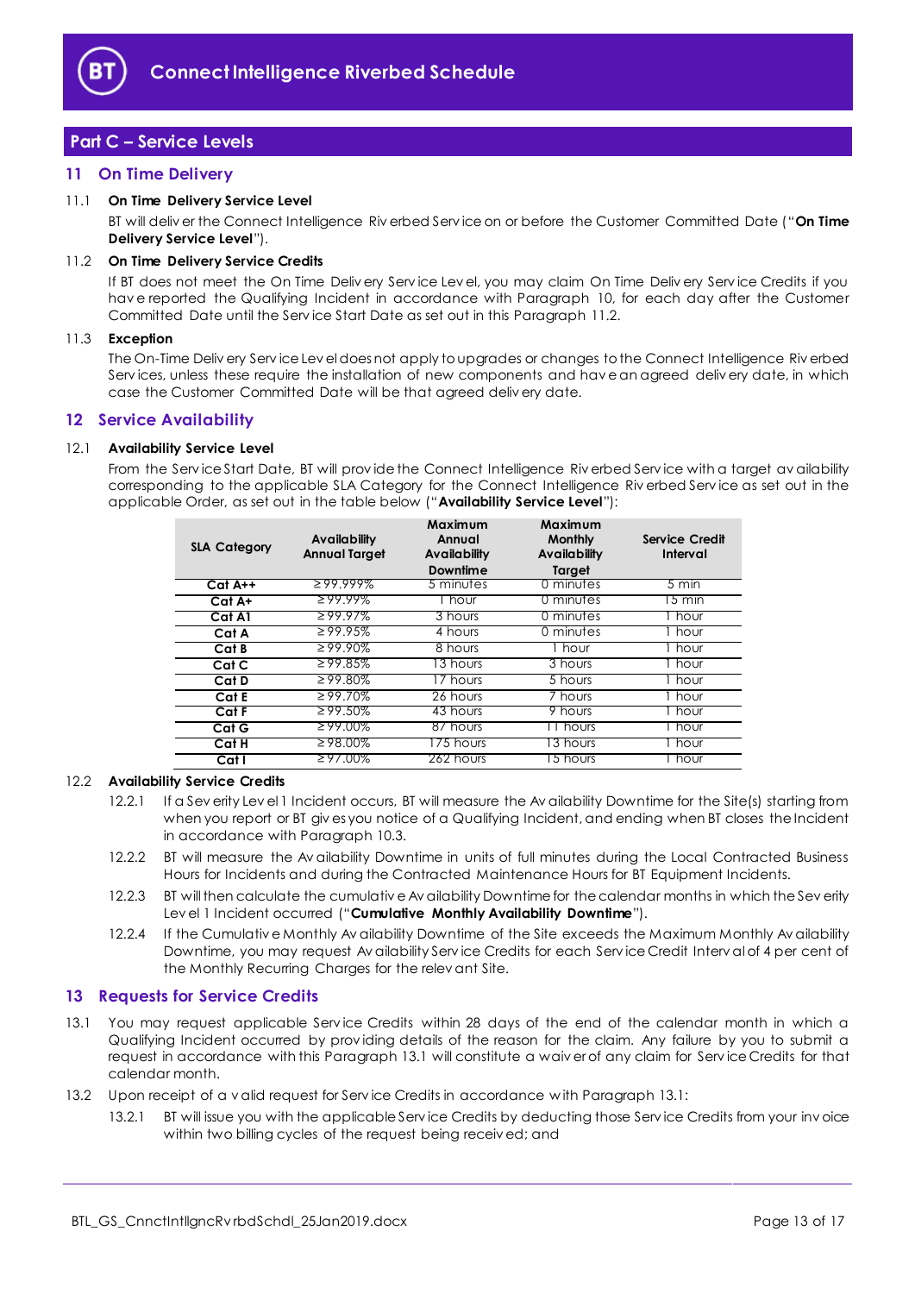

# <span id="page-12-0"></span>**Part C – Service Levels**

#### <span id="page-12-1"></span>**11 On Time Delivery**

#### <span id="page-12-10"></span>11.1 **On Time Delivery Service Level**

BT will deliv er the Connect Intelligence Riv erbed Serv ice on or before the Customer Committed Date ("**On Time Delivery Service Level**").

#### <span id="page-12-4"></span>11.2 **On Time Delivery Service Credits**

If BT does not meet the On Time Deliv ery Serv ice Lev el, you may claim On Time Deliv ery Serv ice Credits if you hav e reported the Qualifying Incident in accordance with Paragraph [10,](#page-11-0) for each day after the Customer Committed Date until the Serv ice Start Date as set out in this Paragraph [11.2.](#page-12-4)

#### 11.3 **Exception**

The On-Time Deliv ery Serv ice Lev el does not apply to upgrades or changes to the Connect Intelligence Riv erbed Serv ices, unless these require the installation of new components and hav e an agreed deliv ery date, in which case the Customer Committed Date will be that agreed deliv ery date.

#### <span id="page-12-2"></span>**12 Service Availability**

#### <span id="page-12-6"></span>12.1 **Availability Service Level**

From the Serv ice Start Date, BT will prov ide the Connect Intelligence Riv erbed Serv ice with a target av ailability corresponding to the applicable SLA Category for the Connect Intelligence Riv erbed Serv ice as set out in the applicable Order, as set out in the table below ("**Availability Service Level**"):

| <b>SLA Category</b> | Availability<br><b>Annual Target</b> | Maximum<br>Annual<br>Availability<br>Downtime | Maximum<br><b>Monthly</b><br><b>Availability</b><br>Target | Service Credit<br>Interval |
|---------------------|--------------------------------------|-----------------------------------------------|------------------------------------------------------------|----------------------------|
| $Cat A++$           | $299.999\%$                          | 5 minutes                                     | 0 minutes                                                  | $5 \text{ min}$            |
| $Cat A+$            | $299.99\%$                           | hour <b>h</b>                                 | 0 minutes                                                  | 5 min                      |
| Cat A1              | $299.97\%$                           | 3 hours                                       | 0 minutes                                                  | I hour                     |
| Cat A               | $\geq 99.95\%$                       | 4 hours                                       | 0 minutes                                                  | 1 hour                     |
| Cat B               | $\geq 99.90\%$                       | 8 hours                                       | 1 hour                                                     | 1 hour                     |
| Cat C               | $\geq$ 99.85%                        | $\overline{13}$ hours                         | 3 hours                                                    | Thour                      |
| Cat D               | $\geq$ 99.80%                        | 17 hours                                      | 5 hours                                                    | Thour                      |
| Cat E               | $\geq 99.70\%$                       | 26 hours                                      | 7 hours                                                    | Thour                      |
| Cat F               | $299.50\%$                           | 43 hours                                      | 9 hours                                                    | I hour                     |
| Cat G               | $\geq$ 99.00%                        | 87 hours                                      | 11 hours                                                   | l hour                     |
| $C$ at H            | $\geq$ 98.00%                        | 175 hours                                     | 13 hours                                                   | 1 hour                     |
| Cat I               | $297.00\%$                           | 262 hours                                     | 15 hours                                                   | l hour                     |

#### <span id="page-12-7"></span>12.2 **Availability Service Credits**

- 12.2.1 If a Sev erity Lev el 1 Incident occurs, BT will measure the Av ailability Downtime for the Site(s) starting from when you report or BT giv es you notice of a Qualifying Incident, and ending when BT closes the Incident in accordance with Paragrap[h 10.3.](#page-11-2)
- 12.2.2 BT will measure the Av ailability Downtime in units of full minutes during the Local Contracted Business Hours for Incidents and during the Contracted Maintenance Hours for BT Equipment Incidents.
- <span id="page-12-9"></span>12.2.3 BT will then calculate the cumulativ e Av ailability Downtime for the calendar months in which the Sev erity Lev el 1 Incident occurred ("**Cumulative Monthly Availability Downtime**").
- <span id="page-12-8"></span>12.2.4 If the Cumulativ e Monthly Av ailability Downtime of the Site exceeds the Maximum Monthly Av ailability Downtime, you may request Av ailability Serv ice Credits for each Serv ice Credit Interv al of 4 per cent of the Monthly Recurring Charges for the relev ant Site.

#### <span id="page-12-3"></span>**13 Requests for Service Credits**

- <span id="page-12-5"></span>13.1 You may request applicable Serv ice Credits within 28 days of the end of the calendar month in which a Qualifying Incident occurred by prov iding details of the reason for the claim. Any failure by you to submit a request in accordance with this Paragraph [13.1](#page-12-5) will constitute a waiv er of any claim for Serv ice Credits for that calendar month.
- 13.2 Upon receipt of a v alid request for Serv ice Credits in accordance w ith Paragrap[h 13.1:](#page-12-5)
	- 13.2.1 BT will issue you with the applicable Serv ice Credits by deducting those Serv ice Credits from your inv oice within two billing cycles of the request being receiv ed; and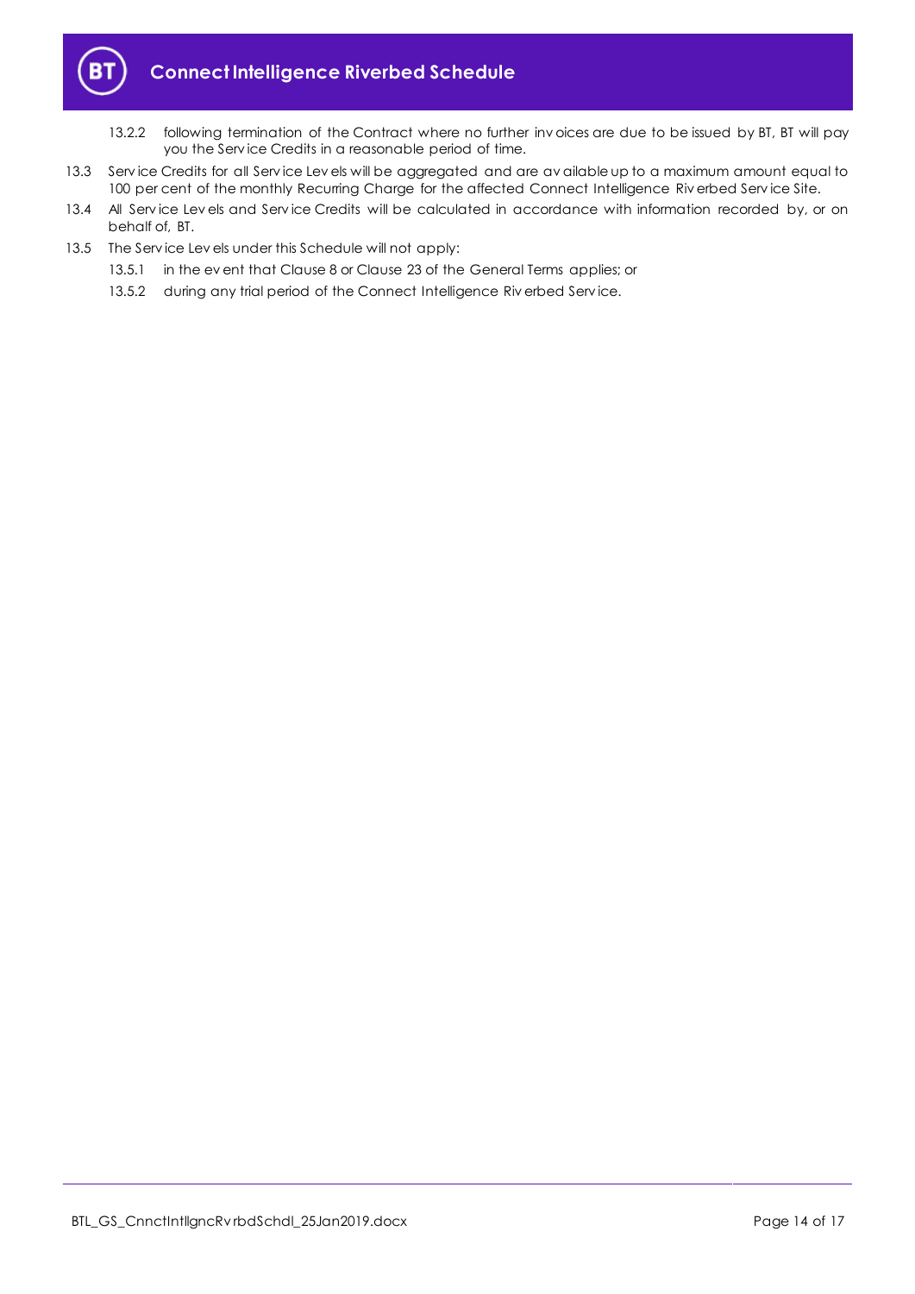

- 13.2.2 following termination of the Contract where no further inv oices are due to be issued by BT, BT will pay you the Serv ice Credits in a reasonable period of time.
- 13.3 Serv ice Credits for all Serv ice Lev els will be aggregated and are av ailable up to a maximum amount equal to 100 per cent of the monthly Recurring Charge for the affected Connect Intelligence Riv erbed Service Site.
- 13.4 All Service Lev els and Service Credits will be calculated in accordance with information recorded by, or on behalf of, BT.
- 13.5 The Serv ice Lev els under this Schedule will not apply:
	- 13.5.1 in the ev ent that Clause 8 or Clause 23 of the General Terms applies; or
	- 13.5.2 during any trial period of the Connect Intelligence Riverbed Service.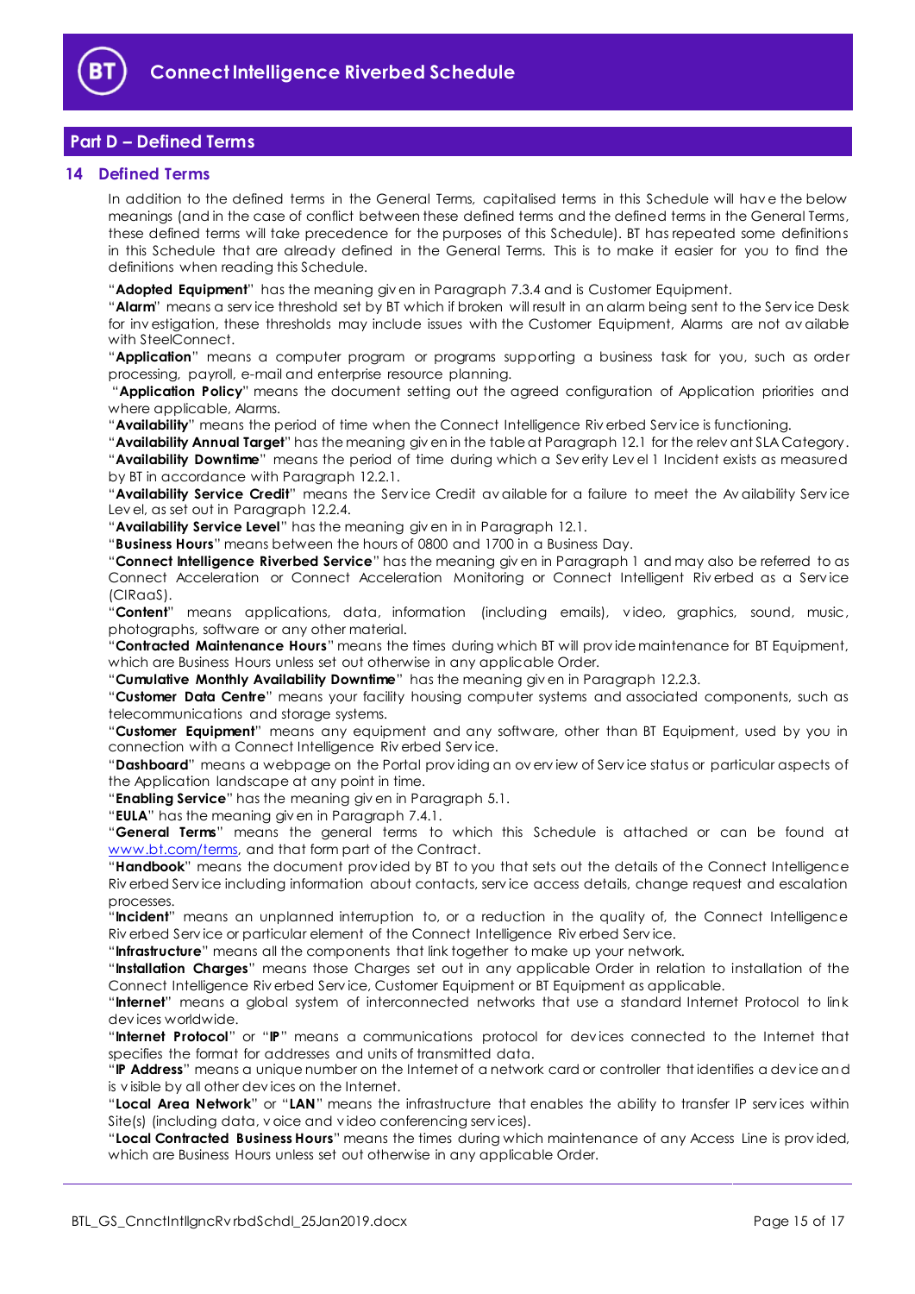

# <span id="page-14-0"></span>**Part D – Defined Terms**

#### <span id="page-14-1"></span>**14 Defined Terms**

In addition to the defined terms in the General Terms, capitalised terms in this Schedule will hav e the below meanings (and in the case of conflict between these defined terms and the defined terms in the General Terms, these defined terms will take precedence for the purposes of this Schedule). BT has repeated some definitions in this Schedule that are already defined in the General Terms. This is to make it easier for you to find the definitions when reading this Schedule.

"**Adopted Equipment**" has the meaning giv en in Paragraph [7.3.4](#page-6-1) and is Customer Equipment.

"**Alarm**" means a serv ice threshold set by BT which if broken will result in an alarm being sent to the Serv ice Desk for inv estigation, these thresholds may include issues with the Customer Equipment, Alarms are not av ailable with SteelConnect.

"**Application**" means a computer program or programs supporting a business task for you, such as order processing, payroll, e-mail and enterprise resource planning.

"**Application Policy**" means the document setting out the agreed configuration of Application priorities and where applicable, Alarms.

"**Availability**" means the period of time when the Connect Intelligence Riv erbed Serv ice is functioning.

"**Availability Annual Target**" has the meaning giv en in the table at Paragraph [12.1](#page-12-6) for the relev ant SLA Category. "**Availability Downtime**" means the period of time during which a Sev erity Lev el 1 Incident exists as measured by BT in accordance with Paragraph [12.2.1.](#page-12-7)

"**Availability Service Credit**" means the Serv ice Credit av ailable for a failure to meet the Av ailability Serv ice Lev el, as set out in Paragraph [12.2.4.](#page-12-8)

"**Availability Service Level**" has the meaning giv en in in Paragraph [12.1.](#page-12-6)

"**Business Hours**" means between the hours of 0800 and 1700 in a Business Day.

"**Connect Intelligence Riverbed Service**" has the meaning giv en in Paragraph [1](#page-1-3) and may also be referred to as Connect Acceleration or Connect Acceleration Monitoring or Connect Intelligent Riv erbed as a Serv ice (CIRaaS).

"**Content**" means applications, data, information (including emails), v ideo, graphics, sound, music, photographs, software or any other material.

"**Contracted Maintenance Hours**" means the times during which BT will prov ide maintenance for BT Equipment, which are Business Hours unless set out otherwise in any applicable Order.

"**Cumulative Monthly Availability Downtime**" has the meaning giv en in Paragrap[h 12.2.3.](#page-12-9)

"**Customer Data Centre**" means your facility housing computer systems and associated components, such as telecommunications and storage systems.

"**Customer Equipment**" means any equipment and any software, other than BT Equipment, used by you in connection with a Connect Intelligence Riv erbed Serv ice.

"**Dashboard**" means a webpage on the Portal prov iding an ov erv iew of Serv ice status or particular aspects of the Application landscape at any point in time.

"**Enabling Service**" has the meaning giv en in Paragrap[h 5.1.](#page-4-2)

"**EULA**" has the meaning giv en in Paragraph [7.4.1.](#page-6-2)

"**General Terms**" means the general terms to which this Schedule is attached or can be found at [www.bt.com/terms,](http://www.bt.com/terms) and that form part of the Contract.

"**Handbook**" means the document prov ided by BT to you that sets out the details of the Connect Intelligence Riv erbed Serv ice including information about contacts, serv ice access details, change request and escalation processes.

"**Incident**" means an unplanned interruption to, or a reduction in the quality of, the Connect Intelligence Riv erbed Serv ice or particular element of the Connect Intelligence Riv erbed Serv ice.

"**Infrastructure**" means all the components that link together to make up your network.

"**Installation Charges**" means those Charges set out in any applicable Order in relation to installation of the Connect Intelligence Riv erbed Serv ice, Customer Equipment or BT Equipment as applicable.

"**Internet**" means a global system of interconnected networks that use a standard Internet Protocol to link dev ices worldwide.

"**Internet Protocol**" or "**IP**" means a communications protocol for dev ices connected to the Internet that specifies the format for addresses and units of transmitted data.

"**IP Address**" means a unique number on the Internet of a network card or controller that identifies a dev ice and is v isible by all other dev ices on the Internet.

"**Local Area Network**" or "**LAN**" means the infrastructure that enables the ability to transfer IP serv ices within Site(s) (including data, v oice and v ideo conferencing serv ices).

"**Local Contracted Business Hours**" means the times during which maintenance of any Access Line is prov ided, which are Business Hours unless set out otherwise in any applicable Order.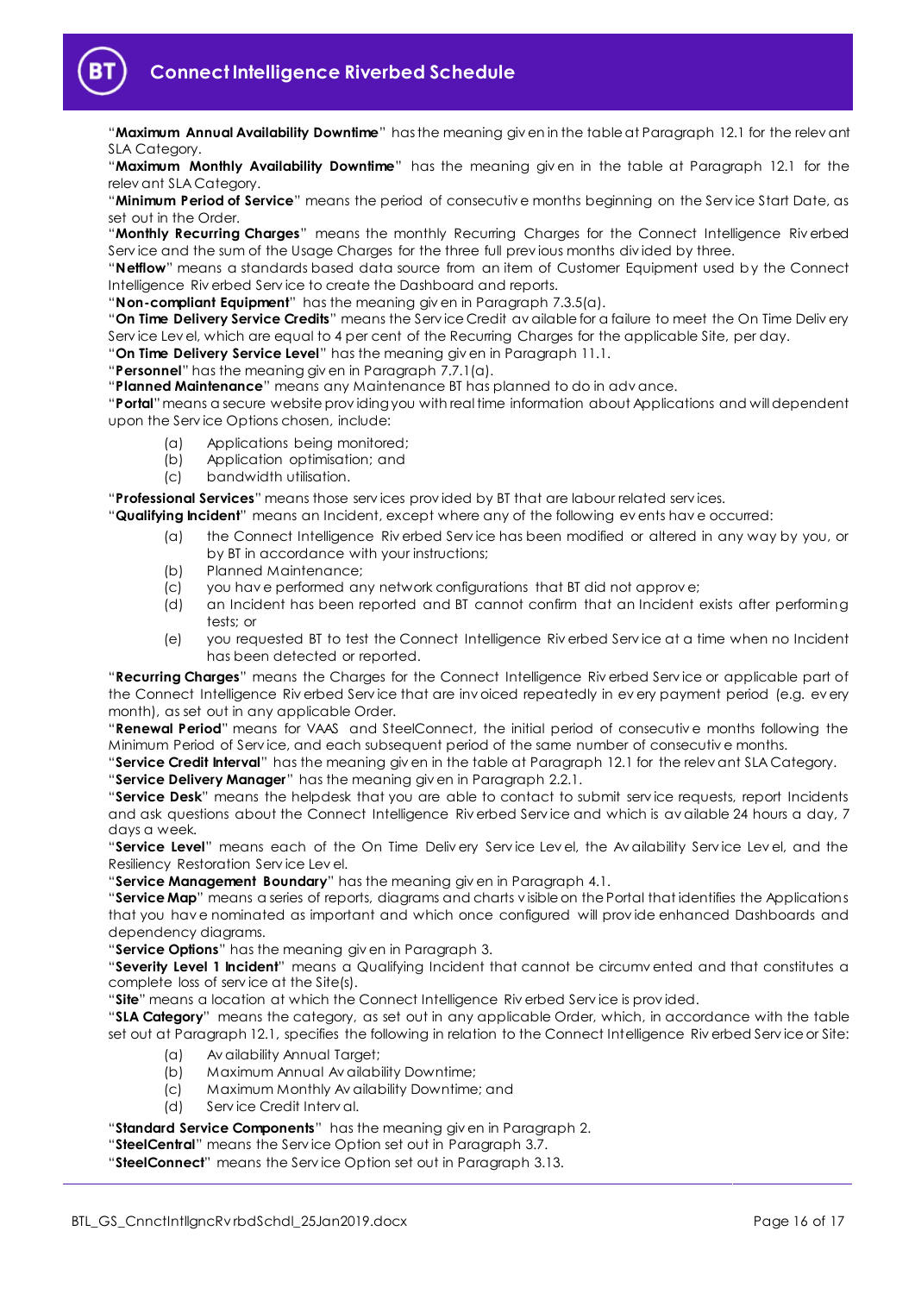

"**Maximum Annual Availability Downtime**" has the meaning giv en in the table at Paragraph [12.1](#page-12-6) for the relev ant SLA Category.

"**Maximum Monthly Availability Downtime**" has the meaning giv en in the table at Paragraph [12.1](#page-12-6) for the relev ant SLA Category.

"**Minimum Period of Service**" means the period of consecutiv e months beginning on the Serv ice Start Date, as set out in the Order.

"Monthly Recurring Charges" means the monthly Recurring Charges for the Connect Intelligence Riverbed Serv ice and the sum of the Usage Charges for the three full prev ious months div ided by three.

"**Netflow**" means a standards based data source from an item of Customer Equipment used by the Connect Intelligence Riv erbed Serv ice to create the Dashboard and reports.

"**Non-compliant Equipment**" has the meaning giv en in Paragraph [7.3.5\(a\).](#page-6-3)

"**On Time Delivery Service Credits**" means the Serv ice Credit av ailable for a failure to meet the On Time Deliv ery Serv ice Lev el, which are equal to 4 per cent of the Recurring Charges for the applicable Site, per day.

"**On Time Delivery Service Level**" has the meaning giv en in Paragrap[h 11.1.](#page-12-10)

"**Personnel**" has the meaning giv en in Paragraph [7.7.1\(a\).](#page-8-2)

"**Planned Maintenance**" means any Maintenance BT has planned to do in adv ance.

"**Portal**"means a secure website prov iding you with real time information about Applications and will dependent upon the Serv ice Options chosen, include:

- (a) Applications being monitored;
- (b) Application optimisation; and
- (c) bandwidth utilisation.

"**Professional Services**" means those serv ices prov ided by BT that are labour related serv ices.

"**Qualifying Incident**" means an Incident, except where any of the following ev ents hav e occurred:

- (a) the Connect Intelligence Riv erbed Serv ice has been modified or altered in any way by you, or by BT in accordance with your instructions;
- (b) Planned Maintenance;
- (c) you hav e performed any network configurations that BT did not approv e;
- (d) an Incident has been reported and BT cannot confirm that an Incident exists after performing tests; or
- (e) you requested BT to test the Connect Intelligence Riv erbed Serv ice at a time when no Incident has been detected or reported.

"**Recurring Charges**" means the Charges for the Connect Intelligence Riv erbed Serv ice or applicable part of the Connect Intelligence Riv erbed Serv ice that are inv oiced repeatedly in ev ery payment period (e.g. ev ery month), as set out in any applicable Order.

"**Renewal Period**" means for VAAS and SteelConnect, the initial period of consecutiv e months following the Minimum Period of Serv ice, and each subsequent period of the same number of consecutiv e months.

"**Service Credit Interval**" has the meaning giv en in the table at Paragraph [12.1](#page-12-6) for the relev ant SLA Category.

"**Service Delivery Manager**" has the meaning giv en in Paragrap[h 2.2.1.](#page-1-6)

"**Service Desk**" means the helpdesk that you are able to contact to submit serv ice requests, report Incidents and ask questions about the Connect Intelligence Riv erbed Serv ice and which is av ailable 24 hours a day, 7 days a week.

"Service Level" means each of the On Time Deliv ery Service Level, the Av ailability Service Level, and the Resiliency Restoration Serv ice Lev el.

"**Service Management Boundary**" has the meaning giv en in Paragraph [4.1.](#page-4-3)

"**Service Map**" means a series of reports, diagrams and charts v isible on the Portal that identifies the Applications that you hav e nominated as important and which once configured will prov ide enhanced Dashboards and dependency diagrams.

"**Service Options**" has the meaning giv en in Paragrap[h 3.](#page-1-5)

"**Severity Level 1 Incident**" means a Qualifying Incident that cannot be circumv ented and that constitutes a complete loss of serv ice at the Site(s).

"**Site**" means a location at which the Connect Intelligence Riv erbed Serv ice is prov ided.

"**SLA Category**" means the category, as set out in any applicable Order, which, in accordance with the table set out at Paragraph [12.1,](#page-12-6) specifies the following in relation to the Connect Intelligence Riv erbed Serv ice or Site:

- (a) Av ailability Annual Target;
- (b) Maximum Annual Av ailability Downtime;
- (c) Maximum Monthly Av ailability Downtime; and
- (d) Serv ice Credit Interv al.

"**Standard Service Components**" has the meaning giv en in Paragraph [2.](#page-1-4)

"**SteelCentral**" means the Serv ice Option set out in Paragraph [3.7.](#page-2-1)

"**SteelConnect**" means the Serv ice Option set out in Paragraph [3.13.](#page-4-4)